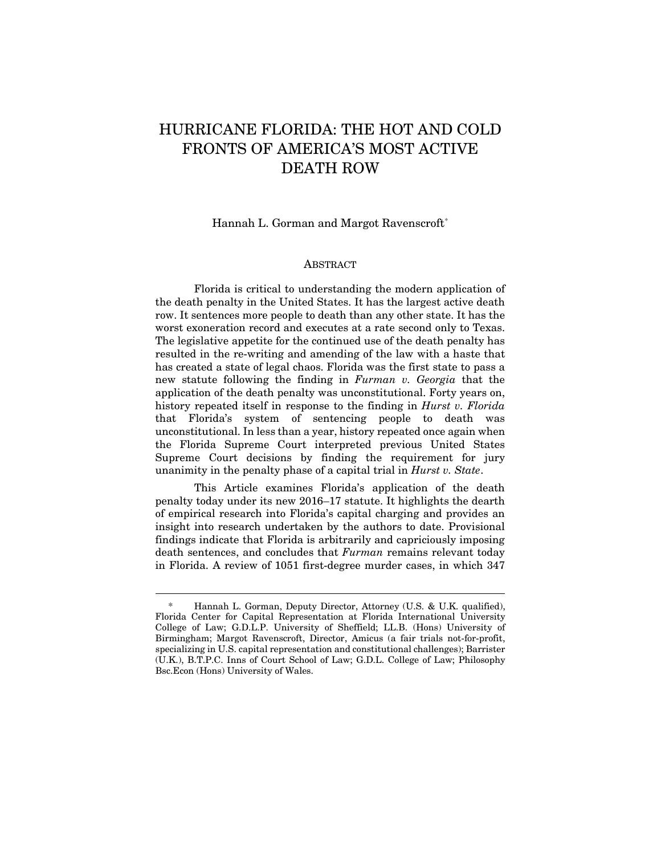# HURRICANE FLORIDA: THE HOT AND COLD FRONTS OF AMERICA'S MOST ACTIVE DEATH ROW

Hannah L. Gorman and Margot Ravenscroft[\\*](#page-0-0)

#### ABSTRACT

Florida is critical to understanding the modern application of the death penalty in the United States. It has the largest active death row. It sentences more people to death than any other state. It has the worst exoneration record and executes at a rate second only to Texas. The legislative appetite for the continued use of the death penalty has resulted in the re-writing and amending of the law with a haste that has created a state of legal chaos. Florida was the first state to pass a new statute following the finding in *Furman v. Georgia* that the application of the death penalty was unconstitutional. Forty years on, history repeated itself in response to the finding in *Hurst v. Florida* that Florida's system of sentencing people to death was unconstitutional. In less than a year, history repeated once again when the Florida Supreme Court interpreted previous United States Supreme Court decisions by finding the requirement for jury unanimity in the penalty phase of a capital trial in *Hurst v. State*.

This Article examines Florida's application of the death penalty today under its new 2016–17 statute. It highlights the dearth of empirical research into Florida's capital charging and provides an insight into research undertaken by the authors to date. Provisional findings indicate that Florida is arbitrarily and capriciously imposing death sentences, and concludes that *Furman* remains relevant today in Florida. A review of 1051 first-degree murder cases, in which 347

<span id="page-0-0"></span><sup>\*</sup> Hannah L. Gorman, Deputy Director, Attorney (U.S. & U.K. qualified), Florida Center for Capital Representation at Florida International University College of Law; G.D.L.P. University of Sheffield; LL.B. (Hons) University of Birmingham; Margot Ravenscroft, Director, Amicus (a fair trials not-for-profit, specializing in U.S. capital representation and constitutional challenges); Barrister (U.K.), B.T.P.C. Inns of Court School of Law; G.D.L. College of Law; Philosophy Bsc.Econ (Hons) University of Wales.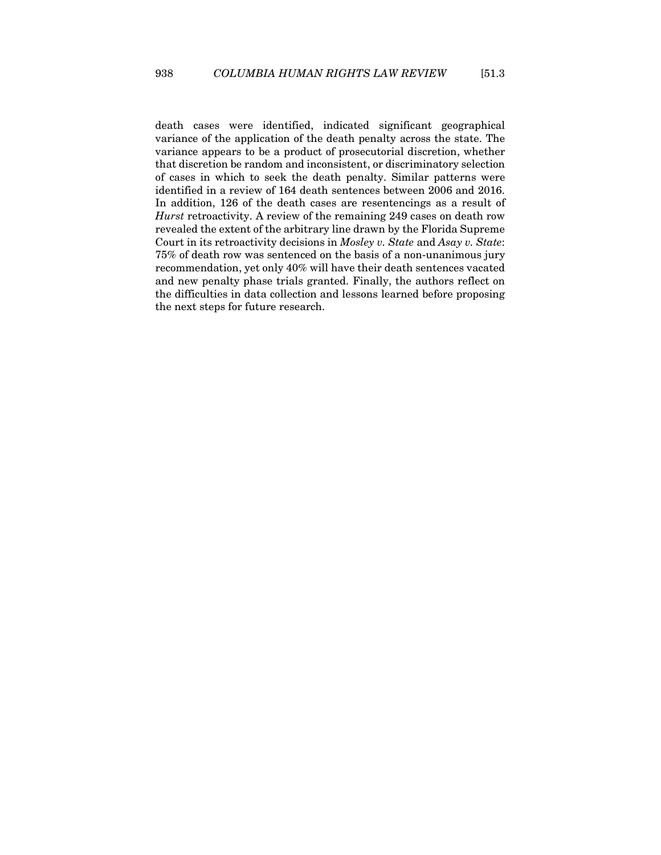death cases were identified, indicated significant geographical variance of the application of the death penalty across the state. The variance appears to be a product of prosecutorial discretion, whether that discretion be random and inconsistent, or discriminatory selection of cases in which to seek the death penalty. Similar patterns were identified in a review of 164 death sentences between 2006 and 2016. In addition, 126 of the death cases are resentencings as a result of *Hurst* retroactivity. A review of the remaining 249 cases on death row revealed the extent of the arbitrary line drawn by the Florida Supreme Court in its retroactivity decisions in *Mosley v. State* and *Asay v. State*: 75% of death row was sentenced on the basis of a non-unanimous jury recommendation, yet only 40% will have their death sentences vacated and new penalty phase trials granted. Finally, the authors reflect on the difficulties in data collection and lessons learned before proposing the next steps for future research.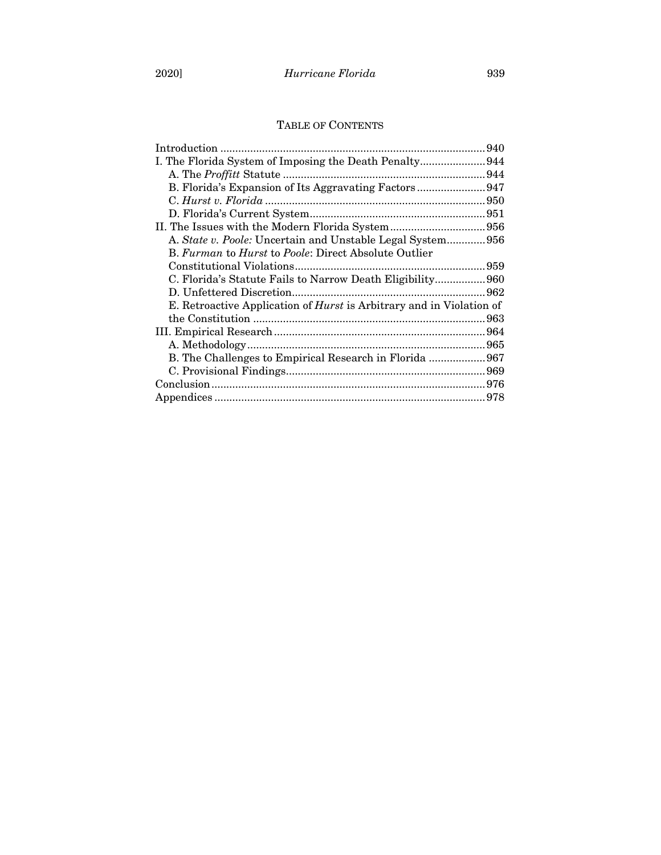# TABLE OF CONTENTS

|                                                                             | 940 |
|-----------------------------------------------------------------------------|-----|
| I. The Florida System of Imposing the Death Penalty944                      |     |
|                                                                             |     |
|                                                                             |     |
|                                                                             |     |
|                                                                             |     |
|                                                                             |     |
| A. State v. Poole: Uncertain and Unstable Legal System956                   |     |
| B. Furman to Hurst to Poole: Direct Absolute Outlier                        |     |
|                                                                             |     |
| C. Florida's Statute Fails to Narrow Death Eligibility960                   |     |
|                                                                             |     |
| E. Retroactive Application of <i>Hurst</i> is Arbitrary and in Violation of |     |
|                                                                             | 963 |
|                                                                             |     |
|                                                                             |     |
| B. The Challenges to Empirical Research in Florida  967                     |     |
|                                                                             |     |
|                                                                             |     |
|                                                                             |     |
|                                                                             |     |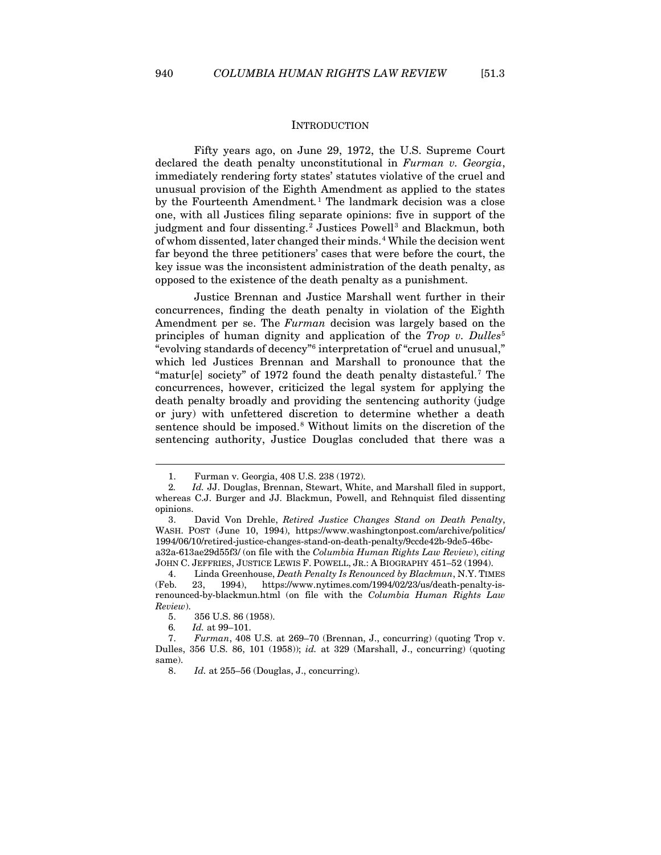#### **INTRODUCTION**

<span id="page-3-0"></span>Fifty years ago, on June 29, 1972, the U.S. Supreme Court declared the death penalty unconstitutional in *Furman v. Georgia*, immediately rendering forty states' statutes violative of the cruel and unusual provision of the Eighth Amendment as applied to the states by the Fourteenth Amendment*.* [1](#page-3-1) The landmark decision was a close one, with all Justices filing separate opinions: five in support of the judgment and four dissenting.<sup>[2](#page-3-2)</sup> Justices Powell<sup>[3](#page-3-3)</sup> and Blackmun, both of whom dissented, later changed their minds.[4](#page-3-4) While the decision went far beyond the three petitioners' cases that were before the court, the key issue was the inconsistent administration of the death penalty, as opposed to the existence of the death penalty as a punishment.

Justice Brennan and Justice Marshall went further in their concurrences, finding the death penalty in violation of the Eighth Amendment per se. The *Furman* decision was largely based on the principles of human dignity and application of the *Trop v. Dulles*[5](#page-3-5) "evolving standards of decency"[6](#page-3-6) interpretation of "cruel and unusual," which led Justices Brennan and Marshall to pronounce that the "matur[e] society" of 19[7](#page-3-7)2 found the death penalty distasteful.<sup>7</sup> The concurrences, however, criticized the legal system for applying the death penalty broadly and providing the sentencing authority (judge or jury) with unfettered discretion to determine whether a death sentence should be imposed.<sup>[8](#page-3-8)</sup> Without limits on the discretion of the sentencing authority, Justice Douglas concluded that there was a

<sup>1.</sup> Furman v. Georgia, 408 U.S. 238 (1972).

<span id="page-3-2"></span><span id="page-3-1"></span><sup>2</sup>*. Id.* JJ. Douglas, Brennan, Stewart, White, and Marshall filed in support, whereas C.J. Burger and JJ. Blackmun, Powell, and Rehnquist filed dissenting opinions.

<span id="page-3-3"></span><sup>3.</sup> David Von Drehle, *Retired Justice Changes Stand on Death Penalty*, WASH. POST (June 10, 1994), https://www.washingtonpost.com/archive/politics/ 1994/06/10/retired-justice-changes-stand-on-death-penalty/9ccde42b-9de5-46bca32a-613ae29d55f3/ (on file with the *Columbia Human Rights Law Review*), *citing* JOHN C. JEFFRIES, JUSTICE LEWIS F. POWELL, JR.: A BIOGRAPHY 451–52 (1994).

<span id="page-3-4"></span><sup>4.</sup> Linda Greenhouse, *Death Penalty Is Renounced by Blackmun*, N.Y. TIMES (Feb. 23, 1994), https://www.nytimes.com/1994/02/23/us/death-penalty-isrenounced-by-blackmun.html (on file with the *Columbia Human Rights Law Review*).

<sup>5.</sup> 356 U.S. 86 (1958).

<sup>6</sup>*. Id.* at 99–101.

<span id="page-3-8"></span><span id="page-3-7"></span><span id="page-3-6"></span><span id="page-3-5"></span><sup>7.</sup> *Furman*, 408 U.S. at 269–70 (Brennan, J., concurring) (quoting Trop v. Dulles, 356 U.S. 86, 101 (1958)); *id.* at 329 (Marshall, J., concurring) (quoting same).

<sup>8.</sup> *Id.* at 255–56 (Douglas, J., concurring).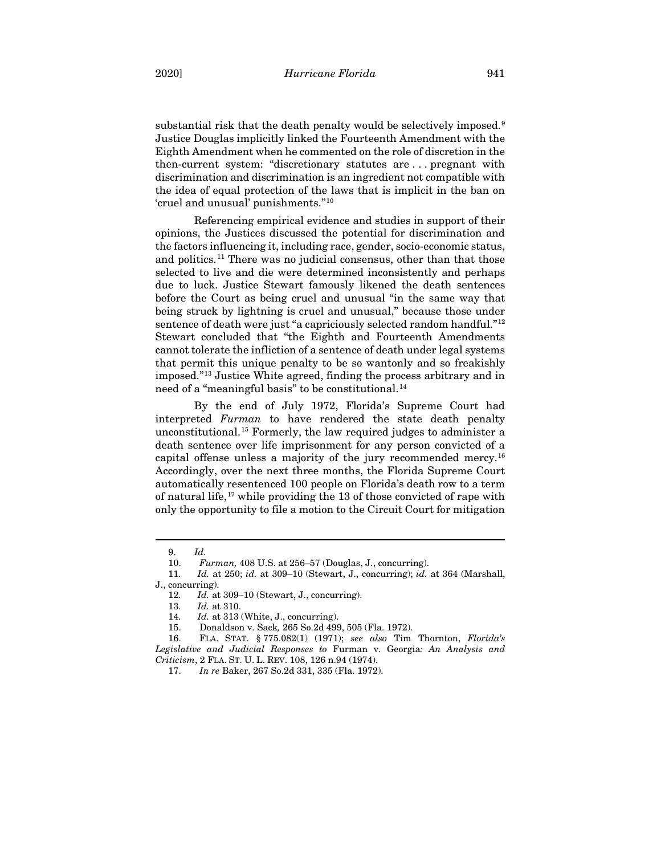substantial risk that the death penalty would be selectively imposed.<sup>[9](#page-4-0)</sup> Justice Douglas implicitly linked the Fourteenth Amendment with the Eighth Amendment when he commented on the role of discretion in the then-current system: "discretionary statutes are . . . pregnant with discrimination and discrimination is an ingredient not compatible with the idea of equal protection of the laws that is implicit in the ban on 'cruel and unusual' punishments."[10](#page-4-1)

Referencing empirical evidence and studies in support of their opinions, the Justices discussed the potential for discrimination and the factors influencing it, including race, gender, socio-economic status, and politics.[11](#page-4-2) There was no judicial consensus, other than that those selected to live and die were determined inconsistently and perhaps due to luck. Justice Stewart famously likened the death sentences before the Court as being cruel and unusual "in the same way that being struck by lightning is cruel and unusual," because those under sentence of death were just "a capriciously selected random handful."[12](#page-4-3) Stewart concluded that "the Eighth and Fourteenth Amendments cannot tolerate the infliction of a sentence of death under legal systems that permit this unique penalty to be so wantonly and so freakishly imposed."[13](#page-4-4) Justice White agreed, finding the process arbitrary and in need of a "meaningful basis" to be constitutional.<sup>[14](#page-4-5)</sup>

By the end of July 1972, Florida's Supreme Court had interpreted *Furman* to have rendered the state death penalty unconstitutional.[15](#page-4-6) Formerly, the law required judges to administer a death sentence over life imprisonment for any person convicted of a capital offense unless a majority of the jury recommended mercy[.16](#page-4-7) Accordingly, over the next three months, the Florida Supreme Court automatically resentenced 100 people on Florida's death row to a term of natural life,[17](#page-4-8) while providing the 13 of those convicted of rape with only the opportunity to file a motion to the Circuit Court for mitigation

<sup>9.</sup> *Id.*

<sup>10.</sup> *Furman,* 408 U.S. at 256–57 (Douglas, J., concurring).

<span id="page-4-4"></span><span id="page-4-3"></span><span id="page-4-2"></span><span id="page-4-1"></span><span id="page-4-0"></span><sup>11</sup>*. Id.* at 250; *id.* at 309–10 (Stewart, J., concurring); *id.* at 364 (Marshall, J., concurring).

<sup>12</sup>*. Id.* at 309–10 (Stewart, J., concurring).

<sup>13</sup>*. Id.* at 310.

<sup>14</sup>*. Id.* at 313 (White, J., concurring).

<sup>15.</sup> Donaldson v. Sack*,* 265 So.2d 499, 505 (Fla. 1972).

<span id="page-4-8"></span><span id="page-4-7"></span><span id="page-4-6"></span><span id="page-4-5"></span><sup>16.</sup> FLA. STAT. § 775.082(1) (1971); *see also* Tim Thornton, *Florida's Legislative and Judicial Responses to* Furman v. Georgia*: An Analysis and Criticism*, 2 FLA. ST. U. L. REV. 108, 126 n.94 (1974).

<sup>17.</sup> *In re* Baker, 267 So.2d 331, 335 (Fla. 1972).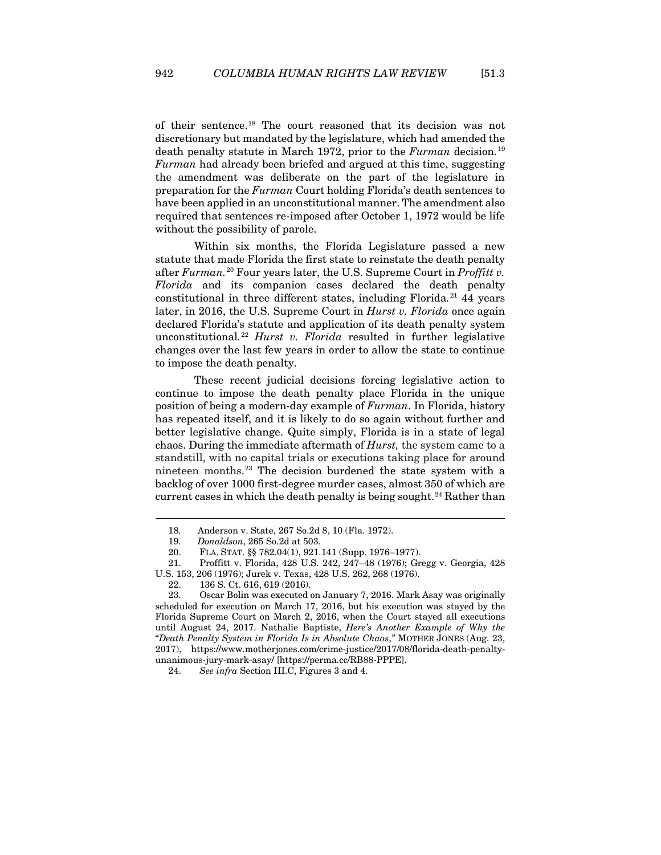of their sentence.[18](#page-5-0) The court reasoned that its decision was not discretionary but mandated by the legislature, which had amended the death penalty statute in March [19](#page-5-1)72, prior to the *Furman* decision.<sup>19</sup> *Furman* had already been briefed and argued at this time, suggesting the amendment was deliberate on the part of the legislature in preparation for the *Furman* Court holding Florida's death sentences to have been applied in an unconstitutional manner. The amendment also required that sentences re-imposed after October 1, 1972 would be life without the possibility of parole.

Within six months, the Florida Legislature passed a new statute that made Florida the first state to reinstate the death penalty after *Furman.*[20](#page-5-2) Four years later, the U.S. Supreme Court in *Proffitt v. Florida* and its companion cases declared the death penalty constitutional in three different states, including Florida*.* [21](#page-5-3) 44 years later, in 2016, the U.S. Supreme Court in *Hurst v. Florida* once again declared Florida's statute and application of its death penalty system unconstitutional*.* [22](#page-5-4) *Hurst v. Florida* resulted in further legislative changes over the last few years in order to allow the state to continue to impose the death penalty.

These recent judicial decisions forcing legislative action to continue to impose the death penalty place Florida in the unique position of being a modern-day example of *Furman*. In Florida, history has repeated itself, and it is likely to do so again without further and better legislative change. Quite simply, Florida is in a state of legal chaos. During the immediate aftermath of *Hurst,* the system came to a standstill, with no capital trials or executions taking place for around nineteen months.[23](#page-5-5) The decision burdened the state system with a backlog of over 1000 first-degree murder cases, almost 350 of which are current cases in which the death penalty is being sought.<sup>[24](#page-5-6)</sup> Rather than

- 21. Proffitt v. Florida, 428 U.S. 242, 247–48 (1976); Gregg v. Georgia, 428
- <span id="page-5-4"></span><span id="page-5-3"></span><span id="page-5-2"></span><span id="page-5-1"></span><span id="page-5-0"></span>U.S. 153, 206 (1976); Jurek v. Texas, 428 U.S. 262, 268 (1976).
	- 22. 136 S. Ct. 616, 619 (2016).

<sup>18</sup>*.* Anderson v. State, 267 So.2d 8, 10 (Fla. 1972).

<sup>19</sup>*. Donaldson*, 265 So.2d at 503.

<sup>20.</sup> FLA. STAT. §§ 782.04(1), 921.141 (Supp. 1976–1977).

<span id="page-5-5"></span><sup>23.</sup> Oscar Bolin was executed on January 7, 2016. Mark Asay was originally scheduled for execution on March 17, 2016, but his execution was stayed by the Florida Supreme Court on March 2, 2016, when the Court stayed all executions until August 24, 2017. Nathalie Baptiste, *Here's Another Example of Why the "Death Penalty System in Florida Is in Absolute Chaos*,*"* MOTHER JONES (Aug. 23, 2017), https://www.motherjones.com/crime-justice/2017/08/florida-death-penaltyunanimous-jury-mark-asay/ [https://perma.cc/RB88-PPPE].

<span id="page-5-6"></span><sup>24.</sup> *See infra* Section III.C, Figures 3 and 4.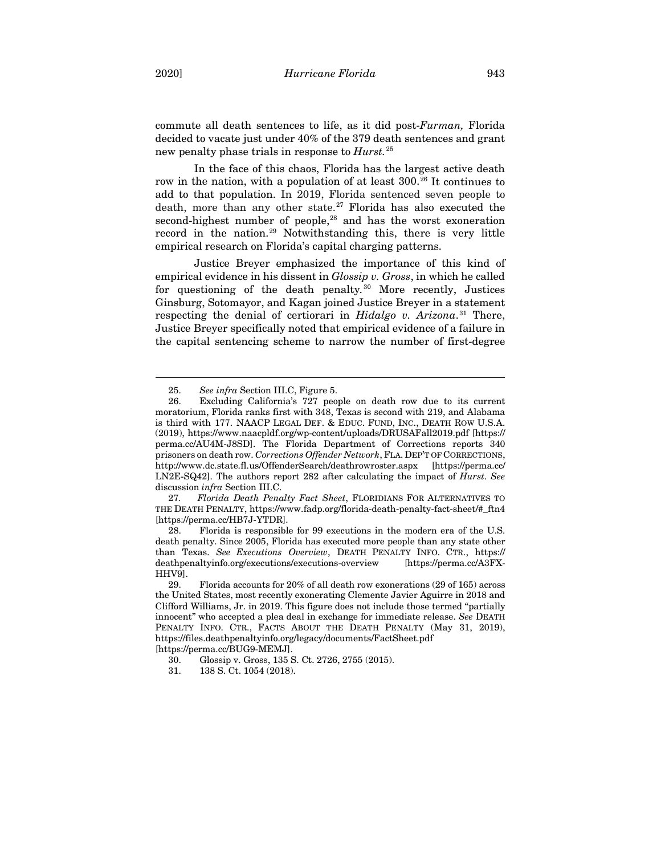commute all death sentences to life, as it did post-*Furman,* Florida decided to vacate just under 40% of the 379 death sentences and grant new penalty phase trials in response to *Hurst.*[25](#page-6-0)

In the face of this chaos, Florida has the largest active death row in the nation, with a population of at least 300. [26](#page-6-1) It continues to add to that population. In 2019, Florida sentenced seven people to death, more than any other state. $27$  Florida has also executed the second-highest number of people,<sup>[28](#page-6-3)</sup> and has the worst exoneration record in the nation[.29](#page-6-4) Notwithstanding this, there is very little empirical research on Florida's capital charging patterns.

Justice Breyer emphasized the importance of this kind of empirical evidence in his dissent in *Glossip v. Gross*, in which he called for questioning of the death penalty*.* [30](#page-6-5) More recently, Justices Ginsburg, Sotomayor, and Kagan joined Justice Breyer in a statement respecting the denial of certiorari in *Hidalgo v. Arizona*. [31](#page-6-6) There, Justice Breyer specifically noted that empirical evidence of a failure in the capital sentencing scheme to narrow the number of first-degree

<span id="page-6-2"></span>27*. Florida Death Penalty Fact Sheet*, FLORIDIANS FOR ALTERNATIVES TO THE DEATH PENALTY, https://www.fadp.org/florida-death-penalty-fact-sheet/#\_ftn4 [https://perma.cc/HB7J-YTDR].

<span id="page-6-3"></span>28. Florida is responsible for 99 executions in the modern era of the U.S. death penalty. Since 2005, Florida has executed more people than any state other than Texas. *See Executions Overview*, DEATH PENALTY INFO. CTR., https:// deathpenaltyinfo.org/executions/executions-overview [https://perma.cc/A3FX-HHV9].

<sup>25.</sup> *See infra* Section III.C, Figure 5.

<span id="page-6-1"></span><span id="page-6-0"></span><sup>26.</sup> Excluding California's 727 people on death row due to its current moratorium, Florida ranks first with 348, Texas is second with 219, and Alabama is third with 177. NAACP LEGAL DEF. & EDUC. FUND, INC., DEATH ROW U.S.A. (2019), <https://www.naacpldf.org/wp-content/uploads/DRUSAFall2019.pdf> [https:// perma.cc/AU4M-J8SD]. The Florida Department of Corrections reports 340 prisoners on death row. *Corrections Offender Network*, FLA. DEP'T OF CORRECTIONS, http://www.dc.state.fl.us/OffenderSearch/deathrowroster.aspx [https://perma.cc/ LN2E-SQ42]. The authors report 282 after calculating the impact of *Hurst*. *See* discussion *infra* Section III.C.

<span id="page-6-4"></span><sup>29.</sup> Florida accounts for 20% of all death row exonerations (29 of 165) across the United States, most recently exonerating Clemente Javier Aguirre in 2018 and Clifford Williams, Jr. in 2019. This figure does not include those termed "partially innocent" who accepted a plea deal in exchange for immediate release. *See* DEATH PENALTY INFO. CTR., FACTS ABOUT THE DEATH PENALTY (May 31, 2019), https://files.deathpenaltyinfo.org/legacy/documents/FactSheet.pdf [https://perma.cc/BUG9-MEMJ].

<span id="page-6-5"></span><sup>30.</sup> Glossip v. Gross, 135 S. Ct. 2726, 2755 (2015).

<span id="page-6-6"></span><sup>31.</sup> 138 S. Ct. 1054 (2018).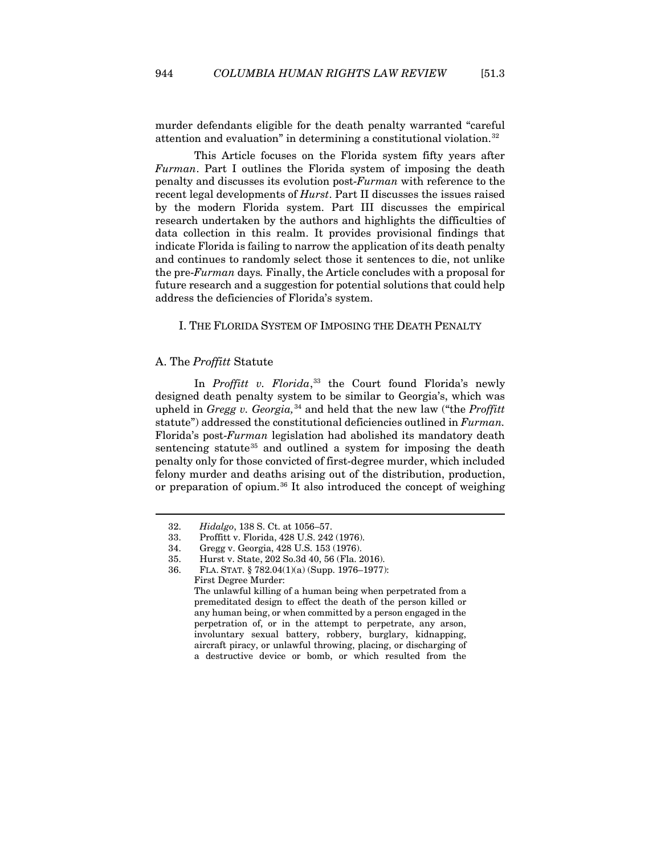murder defendants eligible for the death penalty warranted "careful attention and evaluation" in determining a constitutional violation.[32](#page-7-2)

This Article focuses on the Florida system fifty years after *Furman*. Part I outlines the Florida system of imposing the death penalty and discusses its evolution post-*Furman* with reference to the recent legal developments of *Hurst*. Part II discusses the issues raised by the modern Florida system. Part III discusses the empirical research undertaken by the authors and highlights the difficulties of data collection in this realm. It provides provisional findings that indicate Florida is failing to narrow the application of its death penalty and continues to randomly select those it sentences to die, not unlike the pre-*Furman* days*.* Finally, the Article concludes with a proposal for future research and a suggestion for potential solutions that could help address the deficiencies of Florida's system.

# <span id="page-7-0"></span>I. THE FLORIDA SYSTEM OF IMPOSING THE DEATH PENALTY

# <span id="page-7-1"></span>A. The *Proffitt* Statute

In *Proffitt v. Florida*, [33](#page-7-3) the Court found Florida's newly designed death penalty system to be similar to Georgia's, which was upheld in *Gregg v. Georgia*,<sup>[34](#page-7-4)</sup> and held that the new law ("the *Proffitt* statute") addressed the constitutional deficiencies outlined in *Furman.* Florida's post-*Furman* legislation had abolished its mandatory death sentencing statute<sup>[35](#page-7-5)</sup> and outlined a system for imposing the death penalty only for those convicted of first-degree murder, which included felony murder and deaths arising out of the distribution, production, or preparation of opium.[36](#page-7-6) It also introduced the concept of weighing

First Degree Murder: The unlawful killing of a human being when perpetrated from a premeditated design to effect the death of the person killed or any human being, or when committed by a person engaged in the perpetration of, or in the attempt to perpetrate, any arson, involuntary sexual battery, robbery, burglary, kidnapping, aircraft piracy, or unlawful throwing, placing, or discharging of a destructive device or bomb, or which resulted from the

<span id="page-7-2"></span><sup>32.</sup> *Hidalgo*, 138 S. Ct. at 1056–57.

<span id="page-7-4"></span><span id="page-7-3"></span><sup>33.</sup> Proffitt v. Florida, 428 U.S. 242 (1976).

<sup>34.</sup> Gregg v. Georgia, 428 U.S. 153 (1976).

<span id="page-7-5"></span><sup>35.</sup> Hurst v. State, 202 So.3d 40, 56 (Fla. 2016).

<span id="page-7-6"></span><sup>36.</sup> FLA. STAT. § 782.04(1)(a) (Supp. 1976–1977):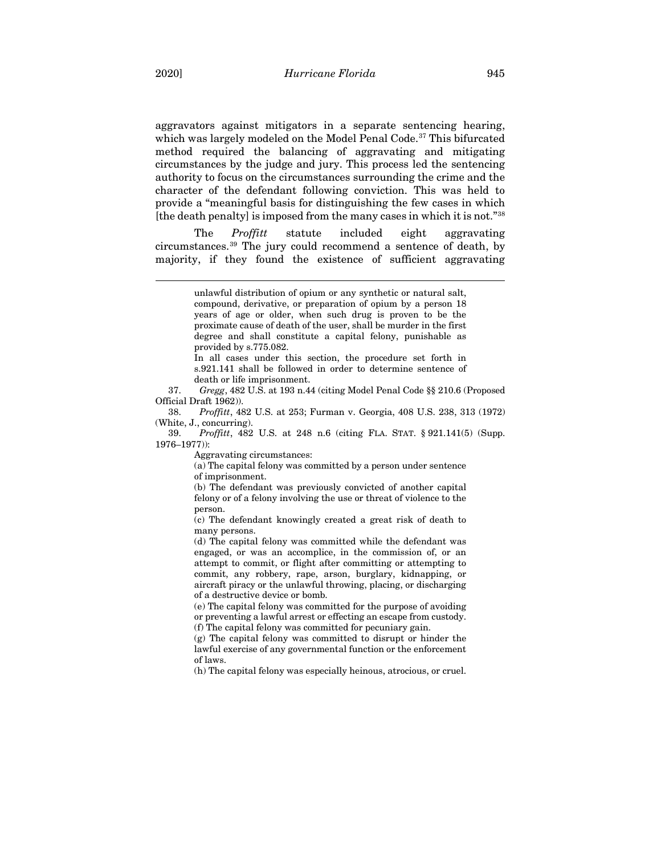aggravators against mitigators in a separate sentencing hearing, which was largely modeled on the Model Penal Code.<sup>[37](#page-8-0)</sup> This bifurcated method required the balancing of aggravating and mitigating circumstances by the judge and jury. This process led the sentencing authority to focus on the circumstances surrounding the crime and the character of the defendant following conviction. This was held to provide a "meaningful basis for distinguishing the few cases in which [the death penalty] is imposed from the many cases in which it is not."[38](#page-8-1)

The *Proffitt* statute included eight aggravating circumstances.[39](#page-8-2) The jury could recommend a sentence of death, by majority, if they found the existence of sufficient aggravating

In all cases under this section, the procedure set forth in s.921.141 shall be followed in order to determine sentence of death or life imprisonment.

<span id="page-8-0"></span>37. *Gregg*, 482 U.S. at 193 n.44 (citing Model Penal Code §§ 210.6 (Proposed Official Draft 1962)).

<span id="page-8-1"></span>38. *Proffitt*, 482 U.S. at 253; Furman v. Georgia, 408 U.S. 238, 313 (1972) (White, J., concurring).

<span id="page-8-2"></span>39. *Proffitt*, 482 U.S. at 248 n.6 (citing FLA. STAT. § 921.141(5) (Supp. 1976–1977)):

Aggravating circumstances:

(a) The capital felony was committed by a person under sentence of imprisonment.

(b) The defendant was previously convicted of another capital felony or of a felony involving the use or threat of violence to the person.

(c) The defendant knowingly created a great risk of death to many persons.

(d) The capital felony was committed while the defendant was engaged, or was an accomplice, in the commission of, or an attempt to commit, or flight after committing or attempting to commit, any robbery, rape, arson, burglary, kidnapping, or aircraft piracy or the unlawful throwing, placing, or discharging of a destructive device or bomb.

(e) The capital felony was committed for the purpose of avoiding or preventing a lawful arrest or effecting an escape from custody. (f) The capital felony was committed for pecuniary gain.

(g) The capital felony was committed to disrupt or hinder the lawful exercise of any governmental function or the enforcement of laws.

(h) The capital felony was especially heinous, atrocious, or cruel.

unlawful distribution of opium or any synthetic or natural salt, compound, derivative, or preparation of opium by a person 18 years of age or older, when such drug is proven to be the proximate cause of death of the user, shall be murder in the first degree and shall constitute a capital felony, punishable as provided by s.775.082.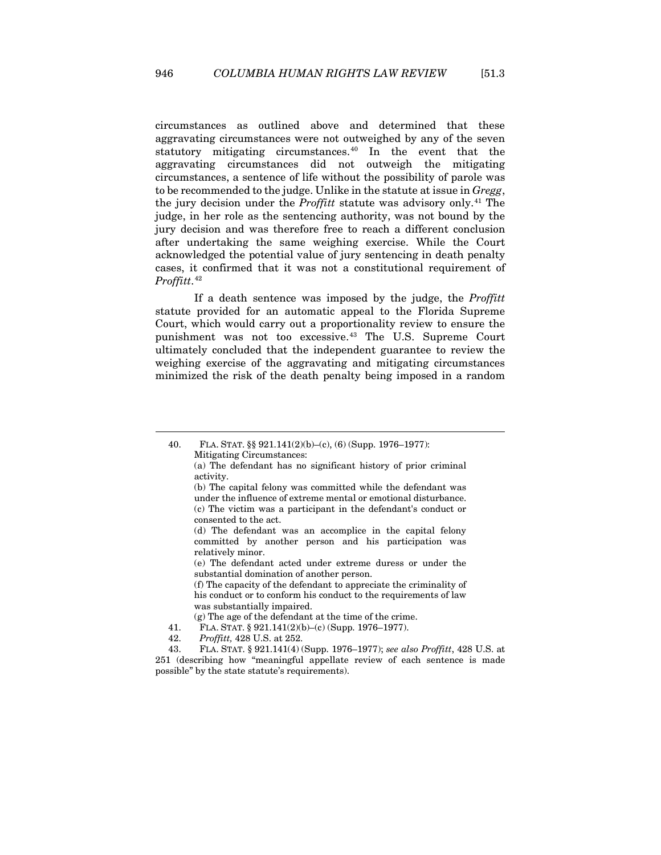circumstances as outlined above and determined that these aggravating circumstances were not outweighed by any of the seven statutory mitigating circumstances.[40](#page-9-0) In the event that the aggravating circumstances did not outweigh the mitigating circumstances, a sentence of life without the possibility of parole was to be recommended to the judge. Unlike in the statute at issue in *Gregg*, the jury decision under the *Proffitt* statute was advisory only.[41](#page-9-1) The judge, in her role as the sentencing authority, was not bound by the jury decision and was therefore free to reach a different conclusion after undertaking the same weighing exercise. While the Court acknowledged the potential value of jury sentencing in death penalty cases, it confirmed that it was not a constitutional requirement of *Proffitt*. [42](#page-9-2)

If a death sentence was imposed by the judge, the *Proffitt*  statute provided for an automatic appeal to the Florida Supreme Court, which would carry out a proportionality review to ensure the punishment was not too excessive.[43](#page-9-3) The U.S. Supreme Court ultimately concluded that the independent guarantee to review the weighing exercise of the aggravating and mitigating circumstances minimized the risk of the death penalty being imposed in a random

(f) The capacity of the defendant to appreciate the criminality of his conduct or to conform his conduct to the requirements of law was substantially impaired.

42. *Proffitt,* 428 U.S. at 252.

<span id="page-9-0"></span><sup>40.</sup> FLA. STAT. §§ 921.141(2)(b)–(c), (6) (Supp. 1976–1977): Mitigating Circumstances:

<sup>(</sup>a) The defendant has no significant history of prior criminal activity.

<sup>(</sup>b) The capital felony was committed while the defendant was under the influence of extreme mental or emotional disturbance. (c) The victim was a participant in the defendant's conduct or consented to the act.

<sup>(</sup>d) The defendant was an accomplice in the capital felony committed by another person and his participation was relatively minor.

<sup>(</sup>e) The defendant acted under extreme duress or under the substantial domination of another person.

<sup>(</sup>g) The age of the defendant at the time of the crime.

<sup>41.</sup> FLA. STAT. § 921.141(2)(b)–(c) (Supp. 1976–1977).

<span id="page-9-3"></span><span id="page-9-2"></span><span id="page-9-1"></span><sup>43.</sup> FLA. STAT. § 921.141(4) (Supp. 1976–1977); *see also Proffitt*, 428 U.S. at 251 (describing how "meaningful appellate review of each sentence is made possible" by the state statute's requirements).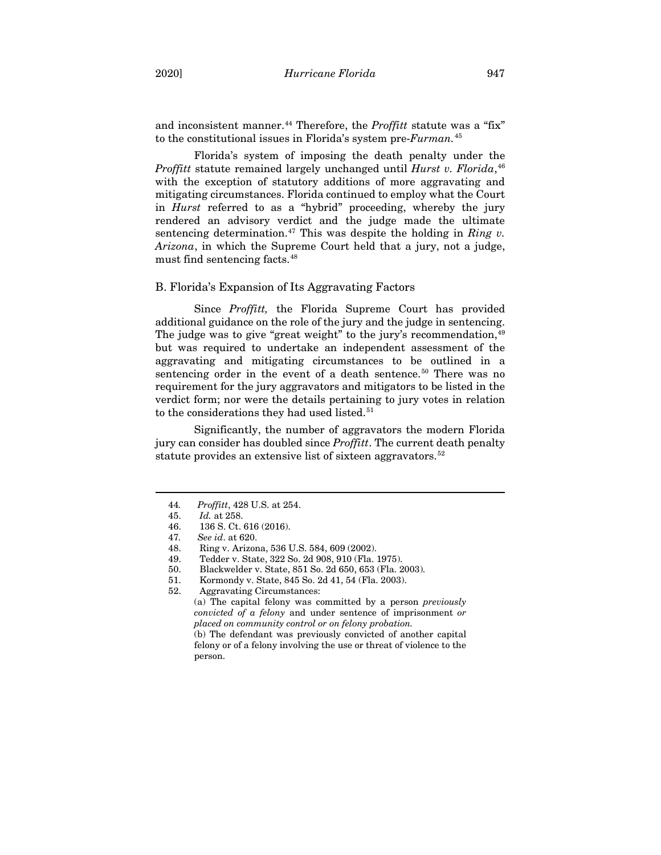and inconsistent manner.<sup>[44](#page-10-1)</sup> Therefore, the *Proffitt* statute was a "fix" to the constitutional issues in Florida's system pre-*Furman.*[45](#page-10-2)

Florida's system of imposing the death penalty under the *Proffitt* statute remained largely unchanged until *Hurst v. Florida*, [46](#page-10-3) with the exception of statutory additions of more aggravating and mitigating circumstances. Florida continued to employ what the Court in *Hurst* referred to as a "hybrid" proceeding, whereby the jury rendered an advisory verdict and the judge made the ultimate sentencing determination.<sup>[47](#page-10-4)</sup> This was despite the holding in *Ring v*. *Arizona*, in which the Supreme Court held that a jury, not a judge, must find sentencing facts.[48](#page-10-5)

## <span id="page-10-0"></span>B. Florida's Expansion of Its Aggravating Factors

Since *Proffitt,* the Florida Supreme Court has provided additional guidance on the role of the jury and the judge in sentencing. The judge was to give "great weight" to the jury's recommendation,  $49$ but was required to undertake an independent assessment of the aggravating and mitigating circumstances to be outlined in a sentencing order in the event of a death sentence.<sup>50</sup> There was no requirement for the jury aggravators and mitigators to be listed in the verdict form; nor were the details pertaining to jury votes in relation to the considerations they had used listed.<sup>[51](#page-10-8)</sup>

Significantly, the number of aggravators the modern Florida jury can consider has doubled since *Proffitt*. The current death penalty statute provides an extensive list of sixteen aggravators.<sup>[52](#page-10-9)</sup>

(a) The capital felony was committed by a person *previously convicted of a felony* and under sentence of imprisonment *or placed on community control or on felony probation.*

(b) The defendant was previously convicted of another capital felony or of a felony involving the use or threat of violence to the person.

<span id="page-10-2"></span><span id="page-10-1"></span><sup>44</sup>*. Proffitt*, 428 U.S. at 254.

<sup>45.</sup> *Id.* at 258.

<sup>46.</sup> 136 S. Ct. 616 (2016).

<span id="page-10-5"></span><span id="page-10-4"></span><span id="page-10-3"></span><sup>47</sup>*. See id*. at 620.

<sup>48.</sup> Ring v. Arizona, 536 U.S. 584, 609 (2002).

<span id="page-10-6"></span><sup>49.</sup> Tedder v. State, 322 So. 2d 908, 910 (Fla. 1975).

<span id="page-10-7"></span><sup>50.</sup> Blackwelder v. State, 851 So. 2d 650, 653 (Fla. 2003).

<span id="page-10-8"></span><sup>51.</sup> Kormondy v. State, 845 So. 2d 41, 54 (Fla. 2003).

<span id="page-10-9"></span><sup>52.</sup> Aggravating Circumstances: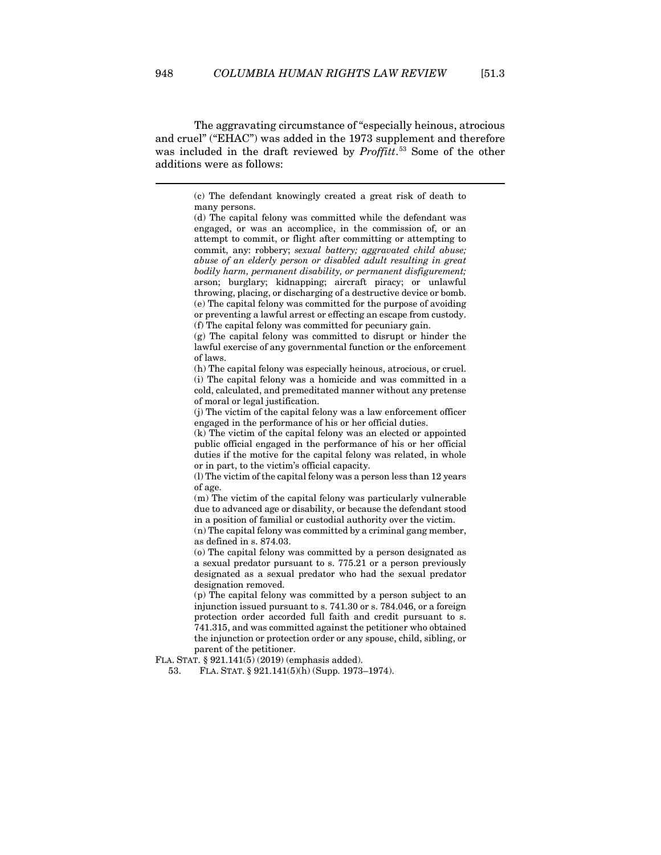The aggravating circumstance of "especially heinous, atrocious and cruel" ("EHAC") was added in the 1973 supplement and therefore was included in the draft reviewed by *Proffitt*. [53](#page-11-0) Some of the other additions were as follows:

> (c) The defendant knowingly created a great risk of death to many persons.

> (d) The capital felony was committed while the defendant was engaged, or was an accomplice, in the commission of, or an attempt to commit, or flight after committing or attempting to commit, any: robbery; *sexual battery; aggravated child abuse; abuse of an elderly person or disabled adult resulting in great bodily harm, permanent disability, or permanent disfigurement;* arson; burglary; kidnapping; aircraft piracy; or unlawful throwing, placing, or discharging of a destructive device or bomb. (e) The capital felony was committed for the purpose of avoiding or preventing a lawful arrest or effecting an escape from custody. (f) The capital felony was committed for pecuniary gain.

> (g) The capital felony was committed to disrupt or hinder the lawful exercise of any governmental function or the enforcement of laws.

> (h) The capital felony was especially heinous, atrocious, or cruel. (i) The capital felony was a homicide and was committed in a cold, calculated, and premeditated manner without any pretense of moral or legal justification.

> (j) The victim of the capital felony was a law enforcement officer engaged in the performance of his or her official duties.

> (k) The victim of the capital felony was an elected or appointed public official engaged in the performance of his or her official duties if the motive for the capital felony was related, in whole or in part, to the victim's official capacity.

> (l) The victim of the capital felony was a person less than 12 years of age.

> (m) The victim of the capital felony was particularly vulnerable due to advanced age or disability, or because the defendant stood in a position of familial or custodial authority over the victim.

> (n) The capital felony was committed by a criminal gang member, as defined in s. 874.03.

> (o) The capital felony was committed by a person designated as a sexual predator pursuant to s. 775.21 or a person previously designated as a sexual predator who had the sexual predator designation removed.

> (p) The capital felony was committed by a person subject to an injunction issued pursuant to s. 741.30 or s. 784.046, or a foreign protection order accorded full faith and credit pursuant to s. 741.315, and was committed against the petitioner who obtained the injunction or protection order or any spouse, child, sibling, or parent of the petitioner.

<span id="page-11-0"></span>FLA. STAT. § 921.141(5) (2019) (emphasis added).

53. FLA. STAT. § 921.141(5)(h) (Supp. 1973–1974).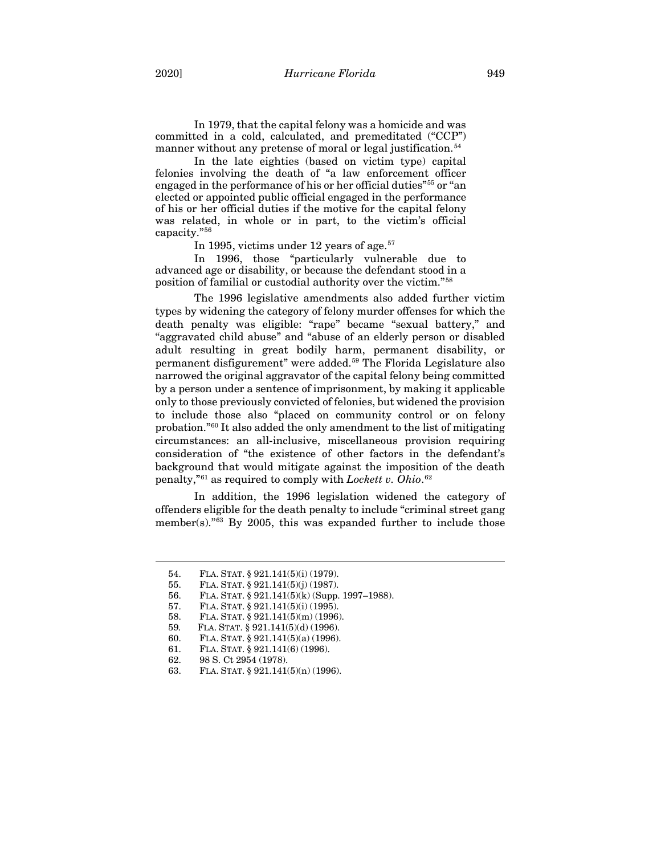In 1979, that the capital felony was a homicide and was committed in a cold, calculated, and premeditated ("CCP") manner without any pretense of moral or legal justification.<sup>[54](#page-12-0)</sup>

In the late eighties (based on victim type) capital felonies involving the death of "a law enforcement officer engaged in the performance of his or her official duties"[55](#page-12-1) or "an elected or appointed public official engaged in the performance of his or her official duties if the motive for the capital felony was related, in whole or in part, to the victim's official capacity."[56](#page-12-2)

In 1995, victims under 12 years of age.<sup>[57](#page-12-3)</sup>

In 1996, those "particularly vulnerable due to advanced age or disability, or because the defendant stood in a position of familial or custodial authority over the victim."[58](#page-12-4)

The 1996 legislative amendments also added further victim types by widening the category of felony murder offenses for which the death penalty was eligible: "rape" became "sexual battery," and "aggravated child abuse" and "abuse of an elderly person or disabled adult resulting in great bodily harm, permanent disability, or permanent disfigurement" were added.[59](#page-12-5) The Florida Legislature also narrowed the original aggravator of the capital felony being committed by a person under a sentence of imprisonment, by making it applicable only to those previously convicted of felonies, but widened the provision to include those also "placed on community control or on felony probation."[60](#page-12-6) It also added the only amendment to the list of mitigating circumstances: an all-inclusive, miscellaneous provision requiring consideration of "the existence of other factors in the defendant's background that would mitigate against the imposition of the death penalty,"[61](#page-12-7) as required to comply with *Lockett v. Ohio*. [62](#page-12-8)

In addition, the 1996 legislation widened the category of offenders eligible for the death penalty to include "criminal street gang member(s)."<sup>[63](#page-12-9)</sup> By 2005, this was expanded further to include those

<sup>54.</sup> FLA. STAT. § 921.141(5)(i) (1979).

<span id="page-12-2"></span><span id="page-12-1"></span><span id="page-12-0"></span><sup>55.</sup> FLA. STAT. § 921.141(5)(j) (1987).

<sup>56.</sup> FLA. STAT. § 921.141(5)(k) (Supp. 1997–1988).

<span id="page-12-4"></span><span id="page-12-3"></span><sup>57.</sup> FLA. STAT. § 921.141(5)(i) (1995).

<sup>58.</sup> FLA. STAT. § 921.141(5)(m) (1996).

<span id="page-12-5"></span><sup>59</sup>*.* FLA. STAT. § 921.141(5)(d) (1996).

<span id="page-12-6"></span><sup>60.</sup> FLA. STAT. § 921.141(5)(a) (1996).

<span id="page-12-7"></span><sup>61.</sup> FLA. STAT. § 921.141(6) (1996).

<span id="page-12-8"></span><sup>62.</sup> 98 S. Ct 2954 (1978).

<span id="page-12-9"></span><sup>63.</sup> FLA. STAT. § 921.141(5)(n) (1996).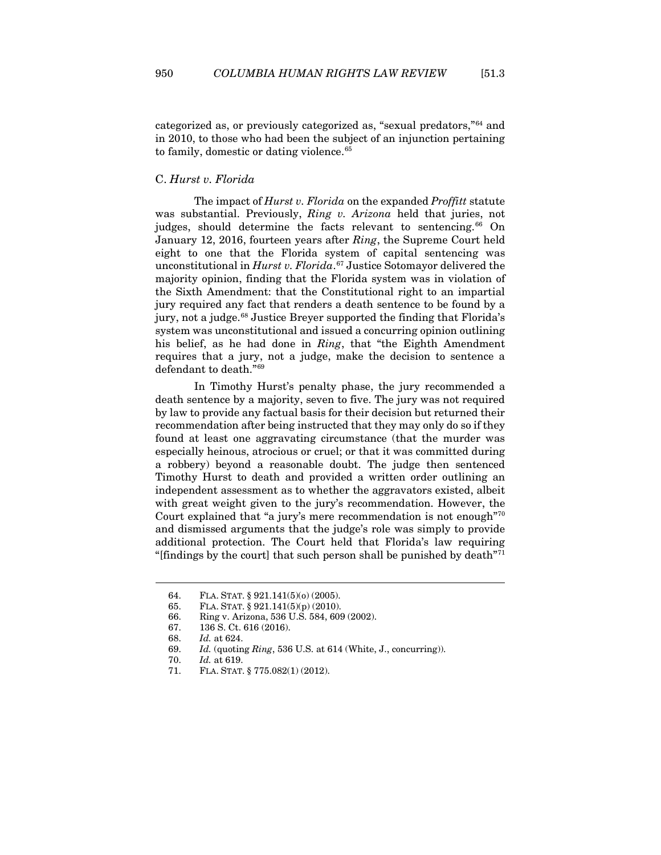categorized as, or previously categorized as, "sexual predators,"[64](#page-13-1) and in 2010, to those who had been the subject of an injunction pertaining to family, domestic or dating violence.<sup>65</sup>

### <span id="page-13-0"></span>C. *Hurst v. Florida*

The impact of *Hurst v. Florida* on the expanded *Proffitt* statute was substantial. Previously, *Ring v. Arizona* held that juries, not judges, should determine the facts relevant to sentencing.<sup>[66](#page-13-3)</sup> On January 12, 2016, fourteen years after *Ring*, the Supreme Court held eight to one that the Florida system of capital sentencing was unconstitutional in *Hurst v. Florida*. [67](#page-13-4) Justice Sotomayor delivered the majority opinion, finding that the Florida system was in violation of the Sixth Amendment: that the Constitutional right to an impartial jury required any fact that renders a death sentence to be found by a jury, not a judge.<sup>[68](#page-13-5)</sup> Justice Breyer supported the finding that Florida's system was unconstitutional and issued a concurring opinion outlining his belief, as he had done in *Ring*, that "the Eighth Amendment requires that a jury, not a judge, make the decision to sentence a defendant to death."[69](#page-13-6)

In Timothy Hurst's penalty phase, the jury recommended a death sentence by a majority, seven to five. The jury was not required by law to provide any factual basis for their decision but returned their recommendation after being instructed that they may only do so if they found at least one aggravating circumstance (that the murder was especially heinous, atrocious or cruel; or that it was committed during a robbery) beyond a reasonable doubt. The judge then sentenced Timothy Hurst to death and provided a written order outlining an independent assessment as to whether the aggravators existed, albeit with great weight given to the jury's recommendation. However, the Court explained that "a jury's mere recommendation is not enough"[70](#page-13-7) and dismissed arguments that the judge's role was simply to provide additional protection. The Court held that Florida's law requiring "[findings by the court] that such person shall be punished by death $171$  $171$ "

<span id="page-13-1"></span><sup>64.</sup> FLA. STAT. § 921.141(5)(o) (2005).

<span id="page-13-2"></span><sup>65.</sup> FLA. STAT. § 921.141(5)(p) (2010).

<span id="page-13-3"></span><sup>66.</sup> Ring v. Arizona, 536 U.S. 584, 609 (2002).

<span id="page-13-4"></span><sup>67.</sup> 136 S. Ct. 616 (2016).

<span id="page-13-5"></span><sup>68.</sup> *Id.* at 624.

<sup>69.</sup> *Id.* (quoting *Ring*, 536 U.S. at 614 (White, J., concurring)).

<span id="page-13-7"></span><span id="page-13-6"></span><sup>70.</sup> *Id.* at 619.

<span id="page-13-8"></span><sup>71.</sup> FLA. STAT. § 775.082(1) (2012).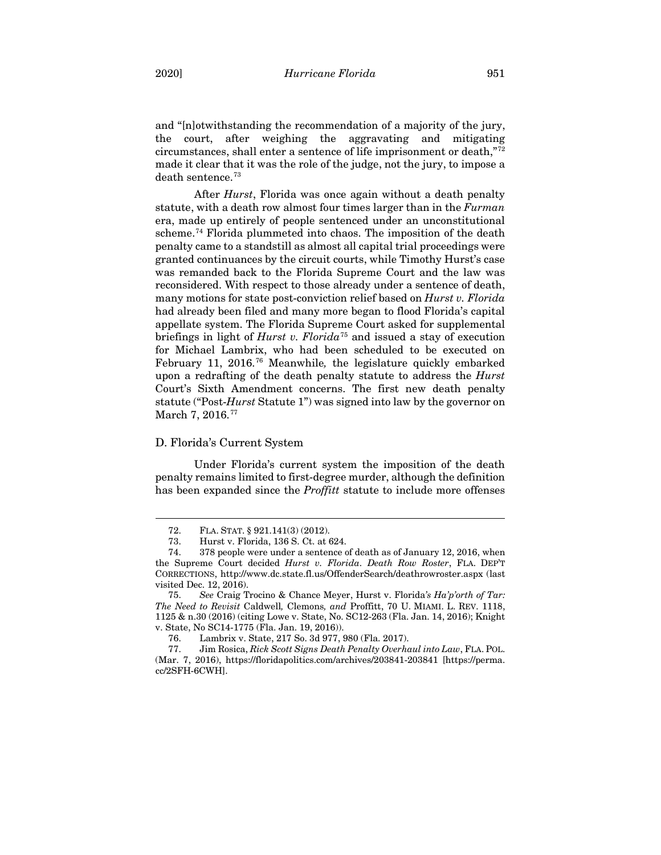and "[n]otwithstanding the recommendation of a majority of the jury, the court, after weighing the aggravating and mitigating circumstances, shall enter a sentence of life imprisonment or death,"[72](#page-14-1) made it clear that it was the role of the judge, not the jury, to impose a death sentence.<sup>[73](#page-14-2)</sup>

<span id="page-14-8"></span>After *Hurst*, Florida was once again without a death penalty statute, with a death row almost four times larger than in the *Furman*  era, made up entirely of people sentenced under an unconstitutional scheme.<sup>[74](#page-14-3)</sup> Florida plummeted into chaos. The imposition of the death penalty came to a standstill as almost all capital trial proceedings were granted continuances by the circuit courts, while Timothy Hurst's case was remanded back to the Florida Supreme Court and the law was reconsidered. With respect to those already under a sentence of death, many motions for state post-conviction relief based on *Hurst v. Florida* had already been filed and many more began to flood Florida's capital appellate system. The Florida Supreme Court asked for supplemental briefings in light of *Hurst v. Florida*[75](#page-14-4) and issued a stay of execution for Michael Lambrix, who had been scheduled to be executed on February 11, 2016.[76](#page-14-5) Meanwhile*,* the legislature quickly embarked upon a redrafting of the death penalty statute to address the *Hurst*  Court's Sixth Amendment concerns. The first new death penalty statute ("Post-*Hurst* Statute 1") was signed into law by the governor on March 7, 2016.<sup>[77](#page-14-6)</sup>

## <span id="page-14-7"></span><span id="page-14-0"></span>D. Florida's Current System

Under Florida's current system the imposition of the death penalty remains limited to first-degree murder, although the definition has been expanded since the *Proffitt* statute to include more offenses

<sup>72.</sup> FLA. STAT. § 921.141(3) (2012).

<sup>73.</sup> Hurst v. Florida, 136 S. Ct. at 624.

<span id="page-14-3"></span><span id="page-14-2"></span><span id="page-14-1"></span><sup>74.</sup> 378 people were under a sentence of death as of January 12, 2016, when the Supreme Court decided *Hurst v. Florida*. *Death Row Roster*, FLA. DEP'T CORRECTIONS, http://www.dc.state.fl.us/OffenderSearch/deathrowroster.aspx (last visited Dec. 12, 2016).

<span id="page-14-4"></span><sup>75.</sup> *See* Craig Trocino & Chance Meyer, Hurst v. Florida*'s Ha'p'orth of Tar: The Need to Revisit* Caldwell*,* Clemons*, and* Proffitt, 70 U. MIAMI. L. REV. 1118, 1125 & n.30 (2016) (citing Lowe v. State, No. SC12-263 (Fla. Jan. 14, 2016); Knight v. State, No SC14-1775 (Fla. Jan. 19, 2016)).

<sup>76.</sup> Lambrix v. State, 217 So. 3d 977, 980 (Fla. 2017).

<span id="page-14-6"></span><span id="page-14-5"></span><sup>77.</sup> Jim Rosica, *Rick Scott Signs Death Penalty Overhaul into Law*, FLA. POL. (Mar. 7, 2016), https://floridapolitics.com/archives/203841-203841 [https://perma. cc/2SFH-6CWH].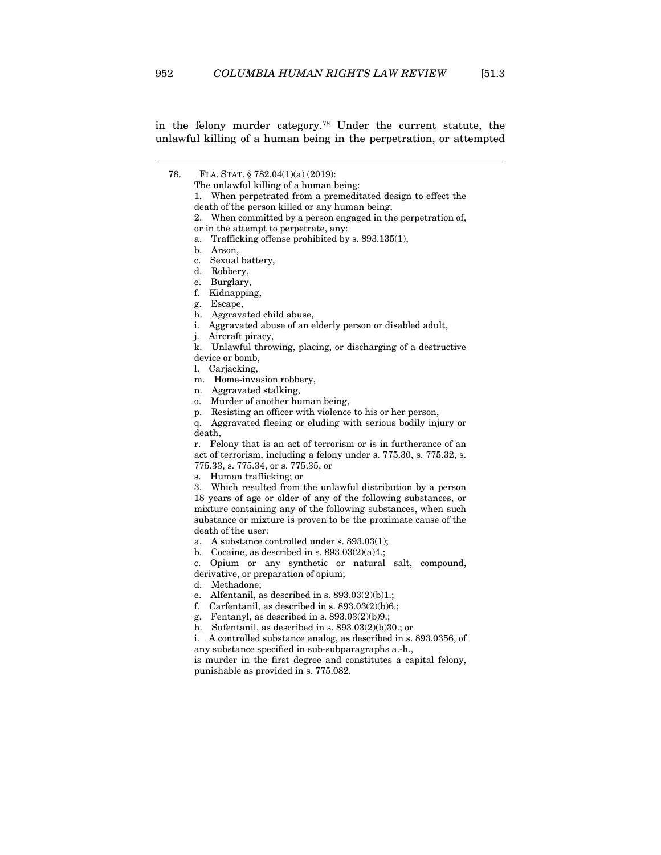<span id="page-15-0"></span>in the felony murder category.[78](#page-15-0) Under the current statute, the unlawful killing of a human being in the perpetration, or attempted

775.33, s. 775.34, or s. 775.35, or

s. Human trafficking; or

3. Which resulted from the unlawful distribution by a person 18 years of age or older of any of the following substances, or mixture containing any of the following substances, when such substance or mixture is proven to be the proximate cause of the death of the user:

a. A substance controlled under s. 893.03(1);

b. Cocaine, as described in s.  $893.03(2)(a)4$ .;

c. Opium or any synthetic or natural salt, compound, derivative, or preparation of opium;

d. Methadone;

e. Alfentanil, as described in s.  $893.03(2)(b)1$ .;

f. Carfentanil, as described in s.  $893.03(2)(b)6$ .;

g. Fentanyl, as described in s. 893.03(2)(b)9.;

h. Sufentanil, as described in s. 893.03(2)(b)30.; or

i. A controlled substance analog, as described in s. 893.0356, of any substance specified in sub-subparagraphs a.-h.,

is murder in the first degree and constitutes a capital felony, punishable as provided in s. 775.082.

<sup>78.</sup> FLA. STAT. § 782.04(1)(a) (2019): The unlawful killing of a human being: 1. When perpetrated from a premeditated design to effect the death of the person killed or any human being; 2. When committed by a person engaged in the perpetration of, or in the attempt to perpetrate, any: a. Trafficking offense prohibited by s. 893.135(1), b. Arson, c. Sexual battery, d. Robbery, e. Burglary, f. Kidnapping, g. Escape, h. Aggravated child abuse, i. Aggravated abuse of an elderly person or disabled adult, j. Aircraft piracy, k. Unlawful throwing, placing, or discharging of a destructive device or bomb, l. Carjacking, m. Home-invasion robbery, n. Aggravated stalking, o. Murder of another human being, p. Resisting an officer with violence to his or her person, q. Aggravated fleeing or eluding with serious bodily injury or death, r. Felony that is an act of terrorism or is in furtherance of an act of terrorism, including a felony under s. 775.30, s. 775.32, s.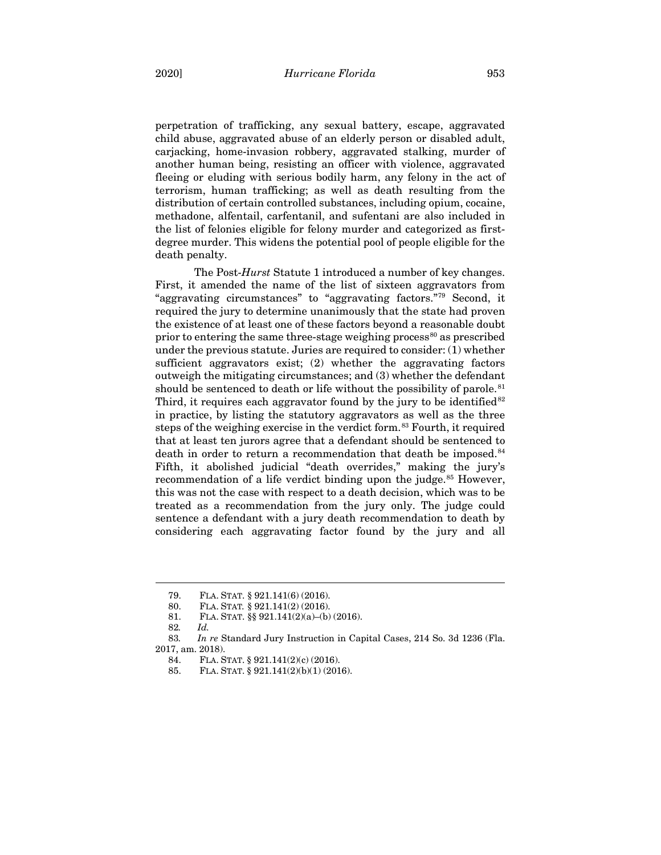perpetration of trafficking, any sexual battery, escape, aggravated child abuse, aggravated abuse of an elderly person or disabled adult, carjacking, home-invasion robbery, aggravated stalking, murder of another human being, resisting an officer with violence, aggravated fleeing or eluding with serious bodily harm, any felony in the act of terrorism, human trafficking; as well as death resulting from the distribution of certain controlled substances, including opium, cocaine, methadone, alfentail, carfentanil, and sufentani are also included in the list of felonies eligible for felony murder and categorized as firstdegree murder. This widens the potential pool of people eligible for the death penalty.

The Post-*Hurst* Statute 1 introduced a number of key changes. First, it amended the name of the list of sixteen aggravators from "aggravating circumstances" to "aggravating factors."[79](#page-16-0) Second, it required the jury to determine unanimously that the state had proven the existence of at least one of these factors beyond a reasonable doubt prior to entering the same three-stage weighing process $^{80}$  $^{80}$  $^{80}$  as prescribed under the previous statute. Juries are required to consider: (1) whether sufficient aggravators exist; (2) whether the aggravating factors outweigh the mitigating circumstances; and (3) whether the defendant should be sentenced to death or life without the possibility of parole.<sup>[81](#page-16-2)</sup> Third, it requires each aggravator found by the jury to be identified  $82$ in practice, by listing the statutory aggravators as well as the three steps of the weighing exercise in the verdict form.<sup>[83](#page-16-4)</sup> Fourth, it required that at least ten jurors agree that a defendant should be sentenced to death in order to return a recommendation that death be imposed.<sup>[84](#page-16-5)</sup> Fifth, it abolished judicial "death overrides," making the jury's recommendation of a life verdict binding upon the judge.<sup>[85](#page-16-6)</sup> However, this was not the case with respect to a death decision, which was to be treated as a recommendation from the jury only. The judge could sentence a defendant with a jury death recommendation to death by considering each aggravating factor found by the jury and all

<sup>79.</sup> FLA. STAT. § 921.141(6) (2016).

<sup>80.</sup> FLA. STAT*.* § 921.141(2) (2016).

<sup>81.</sup> FLA. STAT. §§ 921.141(2)(a)–(b) (2016).

<sup>82</sup>*. Id.*

<span id="page-16-6"></span><span id="page-16-5"></span><span id="page-16-4"></span><span id="page-16-3"></span><span id="page-16-2"></span><span id="page-16-1"></span><span id="page-16-0"></span><sup>83</sup>*. In re* Standard Jury Instruction in Capital Cases, 214 So. 3d 1236 (Fla. 2017, am. 2018).

<sup>84.</sup> FLA. STAT. § 921.141(2)(c) (2016).

<sup>85.</sup> FLA. STAT. § 921.141(2)(b)(1) (2016).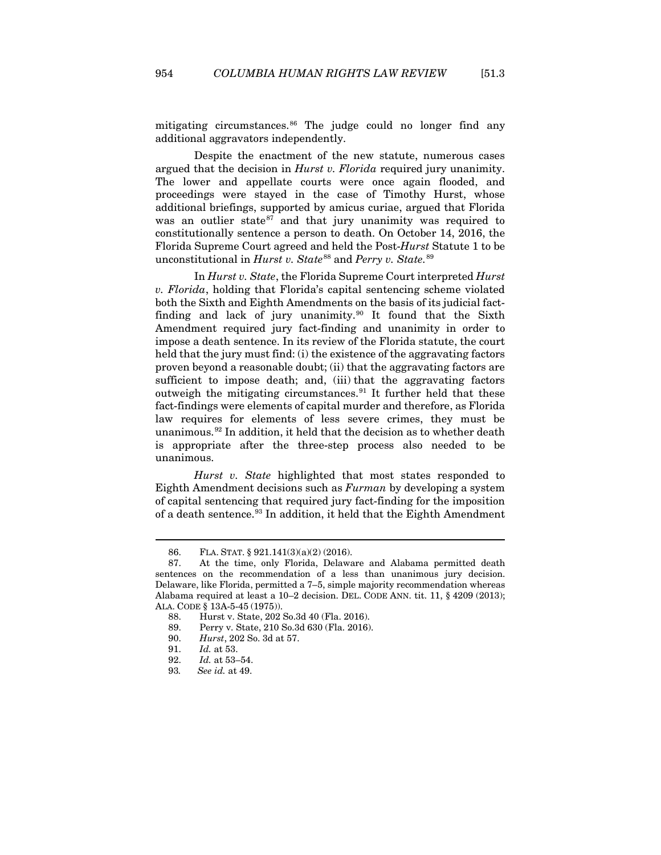mitigating circumstances.[86](#page-17-0) The judge could no longer find any additional aggravators independently.

Despite the enactment of the new statute, numerous cases argued that the decision in *Hurst v. Florida* required jury unanimity. The lower and appellate courts were once again flooded, and proceedings were stayed in the case of Timothy Hurst, whose additional briefings, supported by amicus curiae, argued that Florida was an outlier state $87$  and that jury unanimity was required to constitutionally sentence a person to death. On October 14, 2016, the Florida Supreme Court agreed and held the Post-*Hurst* Statute 1 to be unconstitutional in *Hurst v. State*<sup>[88](#page-17-2)</sup> and *Perry v. State*.<sup>[89](#page-17-3)</sup>

In *Hurst v. State*, the Florida Supreme Court interpreted *Hurst v. Florida*, holding that Florida's capital sentencing scheme violated both the Sixth and Eighth Amendments on the basis of its judicial factfinding and lack of jury unanimity.[90](#page-17-4) It found that the Sixth Amendment required jury fact-finding and unanimity in order to impose a death sentence. In its review of the Florida statute, the court held that the jury must find: (i) the existence of the aggravating factors proven beyond a reasonable doubt; (ii) that the aggravating factors are sufficient to impose death; and, (iii) that the aggravating factors outweigh the mitigating circumstances.[91](#page-17-5) It further held that these fact-findings were elements of capital murder and therefore, as Florida law requires for elements of less severe crimes, they must be unanimous.[92](#page-17-6) In addition, it held that the decision as to whether death is appropriate after the three-step process also needed to be unanimous.

*Hurst v. State* highlighted that most states responded to Eighth Amendment decisions such as *Furman* by developing a system of capital sentencing that required jury fact-finding for the imposition of a death sentence.<sup>[93](#page-17-7)</sup> In addition, it held that the Eighth Amendment

<sup>86.</sup> FLA. STAT. § 921.141(3)(a)(2) (2016).<br>87. At the time, only Florida, Delawa

<span id="page-17-2"></span><span id="page-17-1"></span><span id="page-17-0"></span>At the time, only Florida, Delaware and Alabama permitted death sentences on the recommendation of a less than unanimous jury decision. Delaware, like Florida, permitted a 7–5, simple majority recommendation whereas Alabama required at least a 10–2 decision. DEL. CODE ANN. tit. 11, § 4209 (2013); ALA. CODE § 13A-5-45 (1975)).

<sup>88.</sup> Hurst v. State, 202 So.3d 40 (Fla. 2016).

<span id="page-17-3"></span><sup>89.</sup> Perry v. State, 210 So.3d 630 (Fla. 2016).

<span id="page-17-4"></span><sup>90.</sup> *Hurst*, 202 So. 3d at 57.

<span id="page-17-5"></span><sup>91.</sup> *Id.* at 53.

<span id="page-17-6"></span><sup>92.</sup> *Id.* at 53–54.

<span id="page-17-7"></span><sup>93</sup>*. See id.* at 49.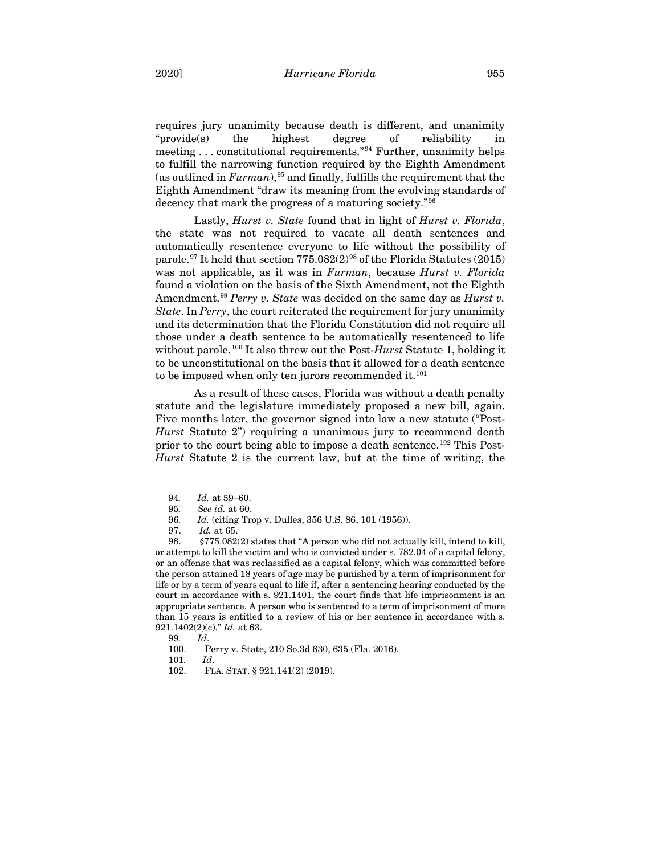requires jury unanimity because death is different, and unanimity "provide(s) the highest degree of reliability in meeting . . . constitutional requirements."[94](#page-18-0) Further, unanimity helps to fulfill the narrowing function required by the Eighth Amendment (as outlined in  $Furman$ ),<sup>[95](#page-18-1)</sup> and finally, fulfills the requirement that the Eighth Amendment "draw its meaning from the evolving standards of decency that mark the progress of a maturing society."[96](#page-18-2)

Lastly, *Hurst v. State* found that in light of *Hurst v. Florida*, the state was not required to vacate all death sentences and automatically resentence everyone to life without the possibility of parole.<sup>[97](#page-18-3)</sup> It held that section  $775.082(2)^{98}$  $775.082(2)^{98}$  $775.082(2)^{98}$  of the Florida Statutes (2015) was not applicable, as it was in *Furman*, because *Hurst v. Florida*  found a violation on the basis of the Sixth Amendment, not the Eighth Amendment. [99](#page-18-5) *Perry v. State* was decided on the same day as *Hurst v. State*. In *Perry*, the court reiterated the requirement for jury unanimity and its determination that the Florida Constitution did not require all those under a death sentence to be automatically resentenced to life without parole. [100](#page-18-6) It also threw out the Post-*Hurst* Statute 1, holding it to be unconstitutional on the basis that it allowed for a death sentence to be imposed when only ten jurors recommended it.<sup>[101](#page-18-7)</sup>

As a result of these cases, Florida was without a death penalty statute and the legislature immediately proposed a new bill, again. Five months later, the governor signed into law a new statute ("Post-*Hurst* Statute 2") requiring a unanimous jury to recommend death prior to the court being able to impose a death sentence.[102](#page-18-8) This Post-*Hurst* Statute 2 is the current law, but at the time of writing, the

<sup>94</sup>*. Id.* at 59–60.

<sup>95</sup>*. See id.* at 60.

<sup>96</sup>*. Id.* (citing Trop v. Dulles, 356 U.S. 86, 101 (1956)).

<sup>97.</sup> *Id.* at 65.

<span id="page-18-4"></span><span id="page-18-3"></span><span id="page-18-2"></span><span id="page-18-1"></span><span id="page-18-0"></span><sup>98.</sup> §775.082(2) states that "A person who did not actually kill, intend to kill, or attempt to kill the victim and who is convicted under [s. 782.04](https://1.next.westlaw.com/Link/Document/FullText?findType=L&pubNum=1000006&cite=FLSTS782.04&originatingDoc=NA7B05A209EC111E984C6B72F156B0EC8&refType=LQ&originationContext=document&transitionType=DocumentItem&contextData=(sc.DocLink)) of a capital felony, or an offense that was reclassified as a capital felony, which was committed before the person attained 18 years of age may be punished by a term of imprisonment for life or by a term of years equal to life if, after a sentencing hearing conducted by the court in accordance with [s. 921.1401,](https://1.next.westlaw.com/Link/Document/FullText?findType=L&pubNum=1000006&cite=FLSTS921.1401&originatingDoc=NA7B05A209EC111E984C6B72F156B0EC8&refType=LQ&originationContext=document&transitionType=DocumentItem&contextData=(sc.DocLink)) the court finds that life imprisonment is an appropriate sentence. A person who is sentenced to a term of imprisonment of more than 15 years is entitled to a review of his or her sentence in accordance with [s.](https://1.next.westlaw.com/Link/Document/FullText?findType=L&pubNum=1000006&cite=FLSTS921.1402&originatingDoc=NA7B05A209EC111E984C6B72F156B0EC8&refType=SP&originationContext=document&transitionType=DocumentItem&contextData=(sc.DocLink)#co_pp_0446000051070)  [921.1402\(2\)\(c\)."](https://1.next.westlaw.com/Link/Document/FullText?findType=L&pubNum=1000006&cite=FLSTS921.1402&originatingDoc=NA7B05A209EC111E984C6B72F156B0EC8&refType=SP&originationContext=document&transitionType=DocumentItem&contextData=(sc.DocLink)#co_pp_0446000051070) *Id.* at 63.

<span id="page-18-8"></span><span id="page-18-7"></span><span id="page-18-6"></span><span id="page-18-5"></span><sup>99</sup>*. Id*.

<sup>100.</sup> Perry v. State, 210 So.3d 630, 635 (Fla. 2016).

<sup>101</sup>*. Id*.

<sup>102.</sup> FLA. STAT. § 921.141(2) (2019).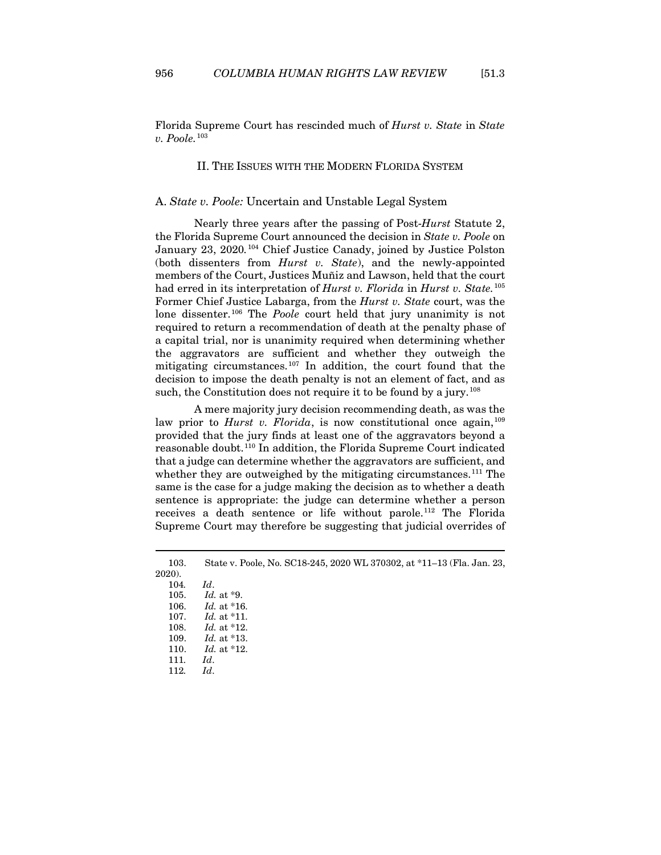<span id="page-19-0"></span>Florida Supreme Court has rescinded much of *Hurst v. State* in *State v. Poole.*[103](#page-19-2)

# II. THE ISSUES WITH THE MODERN FLORIDA SYSTEM

## <span id="page-19-1"></span>A. *State v. Poole:* Uncertain and Unstable Legal System

Nearly three years after the passing of Post-*Hurst* Statute 2, the Florida Supreme Court announced the decision in *State v. Poole* on January 23, 2020.<sup>[104](#page-19-3)</sup> Chief Justice Canady, joined by Justice Polston (both dissenters from *Hurst v. State*), and the newly-appointed members of the Court, Justices Muñiz and Lawson, held that the court had erred in its interpretation of *Hurst v. Florida* in *Hurst v. State.*[105](#page-19-4) Former Chief Justice Labarga, from the *Hurst v. State* court, was the lone dissenter.<sup>[106](#page-19-5)</sup> The *Poole* court held that jury unanimity is not required to return a recommendation of death at the penalty phase of a capital trial, nor is unanimity required when determining whether the aggravators are sufficient and whether they outweigh the mitigating circumstances.[107](#page-19-6) In addition, the court found that the decision to impose the death penalty is not an element of fact, and as such, the Constitution does not require it to be found by a jury.<sup>[108](#page-19-7)</sup>

A mere majority jury decision recommending death, as was the law prior to *Hurst v. Florida*, is now constitutional once again,<sup>[109](#page-19-8)</sup> provided that the jury finds at least one of the aggravators beyond a reasonable doubt.[110](#page-19-9) In addition, the Florida Supreme Court indicated that a judge can determine whether the aggravators are sufficient, and whether they are outweighed by the mitigating circumstances.<sup>[111](#page-19-10)</sup> The same is the case for a judge making the decision as to whether a death sentence is appropriate: the judge can determine whether a person receives a death sentence or life without parole.<sup>[112](#page-19-11)</sup> The Florida Supreme Court may therefore be suggesting that judicial overrides of

<span id="page-19-7"></span><span id="page-19-6"></span><span id="page-19-5"></span><span id="page-19-4"></span><span id="page-19-3"></span><span id="page-19-2"></span><sup>103.</sup> State v. Poole, No. SC18-245, 2020 WL 370302, at \*11–13 (Fla. Jan. 23, 2020).

<span id="page-19-11"></span><span id="page-19-10"></span><span id="page-19-9"></span><span id="page-19-8"></span>

| 104. | Id.                   |
|------|-----------------------|
| 105. | $Id.$ at $*9.$        |
| 106. | <i>Id.</i> at $*16$ . |
| 107. | $Id.$ at $*11.$       |
| 108. | <i>Id.</i> at *12.    |
| 109. | <i>Id.</i> at *13.    |
| 110. | $Id.$ at $*12.$       |
| 111. | Id.                   |
| 112. | Id.                   |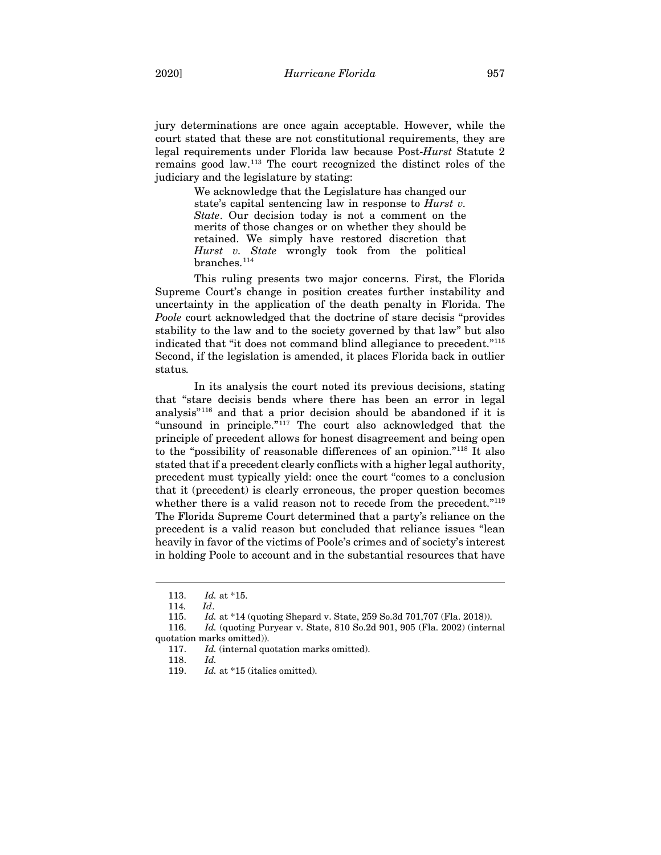jury determinations are once again acceptable. However, while the court stated that these are not constitutional requirements, they are legal requirements under Florida law because Post-*Hurst* Statute 2 remains good law.[113](#page-20-0) The court recognized the distinct roles of the judiciary and the legislature by stating:

> We acknowledge that the Legislature has changed our state's capital sentencing law in response to *Hurst v. State*. Our decision today is not a comment on the merits of those changes or on whether they should be retained. We simply have restored discretion that *Hurst v. State* wrongly took from the political branches.<sup>[114](#page-20-1)</sup>

This ruling presents two major concerns. First, the Florida Supreme Court's change in position creates further instability and uncertainty in the application of the death penalty in Florida. The *Poole* court acknowledged that the doctrine of stare decisis "provides stability to the law and to the society governed by that law" but also indicated that "it does not command blind allegiance to precedent."[115](#page-20-2) Second, if the legislation is amended, it places Florida back in outlier status*.*

In its analysis the court noted its previous decisions, stating that "stare decisis bends where there has been an error in legal analysis"[116](#page-20-3) and that a prior decision should be abandoned if it is "unsound in principle."[117](#page-20-4) The court also acknowledged that the principle of precedent allows for honest disagreement and being open to the "possibility of reasonable differences of an opinion."[118](#page-20-5) It also stated that if a precedent clearly conflicts with a higher legal authority, precedent must typically yield: once the court "comes to a conclusion that it (precedent) is clearly erroneous, the proper question becomes whether there is a valid reason not to recede from the precedent.<sup>"[119](#page-20-6)</sup> The Florida Supreme Court determined that a party's reliance on the precedent is a valid reason but concluded that reliance issues "lean heavily in favor of the victims of Poole's crimes and of society's interest in holding Poole to account and in the substantial resources that have

<sup>113.</sup> *Id.* at \*15.

<sup>114</sup>*. Id*.

<sup>115.</sup> *Id.* at \*14 (quoting Shepard v. State, 259 So.3d 701,707 (Fla. 2018)).

<span id="page-20-6"></span><span id="page-20-5"></span><span id="page-20-4"></span><span id="page-20-3"></span><span id="page-20-2"></span><span id="page-20-1"></span><span id="page-20-0"></span><sup>116.</sup> *Id.* (quoting Puryear v. State, 810 So.2d 901, 905 (Fla. 2002) (internal quotation marks omitted)).

<sup>117.</sup> *Id.* (internal quotation marks omitted).

<sup>118.</sup> *Id.*

<sup>119.</sup> *Id.* at \*15 (italics omitted).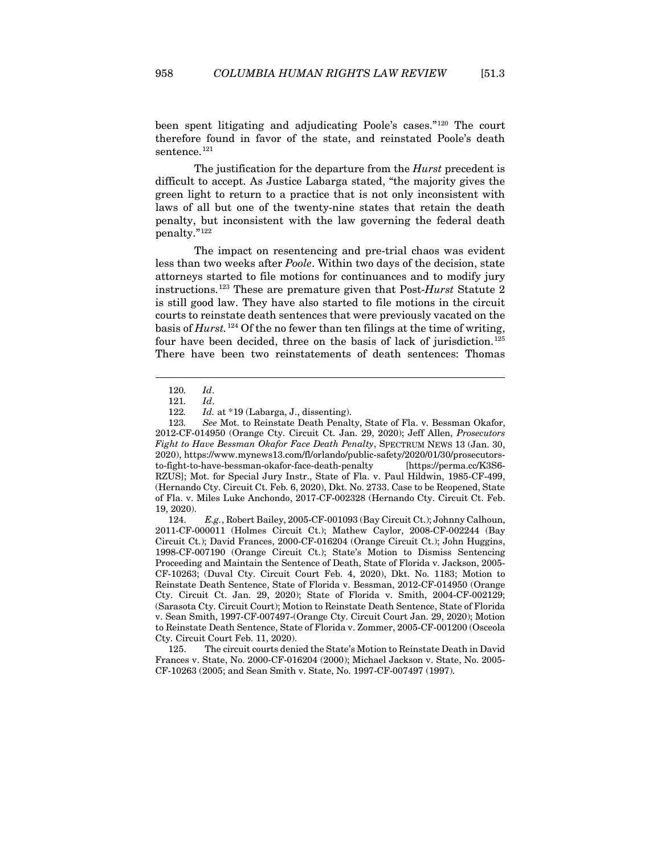been spent litigating and adjudicating Poole's cases."[120](#page-21-0) The court therefore found in favor of the state, and reinstated Poole's death sentence.<sup>[121](#page-21-1)</sup>

The justification for the departure from the *Hurst* precedent is difficult to accept. As Justice Labarga stated, "the majority gives the green light to return to a practice that is not only inconsistent with laws of all but one of the twenty-nine states that retain the death penalty, but inconsistent with the law governing the federal death penalty."[122](#page-21-2)

The impact on resentencing and pre-trial chaos was evident less than two weeks after *Poole*. Within two days of the decision, state attorneys started to file motions for continuances and to modify jury instructions.[123](#page-21-3) These are premature given that Post-*Hurst* Statute 2 is still good law. They have also started to file motions in the circuit courts to reinstate death sentences that were previously vacated on the basis of *Hurst.*[124](#page-21-4) Of the no fewer than ten filings at the time of writing, four have been decided, three on the basis of lack of jurisdiction.[125](#page-21-5) There have been two reinstatements of death sentences: Thomas

<span id="page-21-3"></span><span id="page-21-2"></span><span id="page-21-1"></span><span id="page-21-0"></span>123*. See* Mot. to Reinstate Death Penalty, State of Fla. v. Bessman Okafor, 2012-CF-014950 (Orange Cty. Circuit Ct. Jan. 29, 2020); Jeff Allen, *Prosecutors Fight to Have Bessman Okafor Face Death Penalty*, SPECTRUM NEWS 13 (Jan. 30, 2020), https://www.mynews13.com/fl/orlando/public-safety/2020/01/30/prosecutorsto-fight-to-have-bessman-okafor-face-death-penalty [https://perma.cc/K3S6- RZUS]; Mot. for Special Jury Instr., State of Fla. v. Paul Hildwin, 1985-CF-499, (Hernando Cty. Circuit Ct. Feb. 6, 2020), Dkt. No. 2733. Case to be Reopened, State of Fla. v. Miles Luke Anchondo, 2017-CF-002328 (Hernando Cty. Circuit Ct. Feb. 19, 2020).

<span id="page-21-4"></span>124. *E.g.*, Robert Bailey, 2005-CF-001093 (Bay Circuit Ct.); Johnny Calhoun, 2011-CF-000011 (Holmes Circuit Ct.); Mathew Caylor, 2008-CF-002244 (Bay Circuit Ct.); David Frances, 2000-CF-016204 (Orange Circuit Ct.); John Huggins, 1998-CF-007190 (Orange Circuit Ct.); State's Motion to Dismiss Sentencing Proceeding and Maintain the Sentence of Death, State of Florida v. Jackson, 2005- CF-10263; (Duval Cty. Circuit Court Feb. 4, 2020), Dkt. No. 1183; Motion to Reinstate Death Sentence, State of Florida v. Bessman, 2012-CF-014950 (Orange Cty. Circuit Ct. Jan. 29, 2020); State of Florida v. Smith, 2004-CF-002129; (Sarasota Cty. Circuit Court); Motion to Reinstate Death Sentence, State of Florida v. Sean Smith, 1997-CF-007497-(Orange Cty. Circuit Court Jan. 29, 2020); Motion to Reinstate Death Sentence, State of Florida v. Zommer, 2005-CF-001200 (Osceola Cty. Circuit Court Feb. 11, 2020).

<span id="page-21-5"></span>125. The circuit courts denied the State's Motion to Reinstate Death in David Frances v. State, No. 2000-CF-016204 (2000); Michael Jackson v. State, No. 2005- CF-10263 (2005; and Sean Smith v. State, No. 1997-CF-007497 (1997).

<sup>120</sup>*. Id*.

<sup>121</sup>*. Id*.

<sup>122</sup>*. Id.* at \*19 (Labarga, J., dissenting).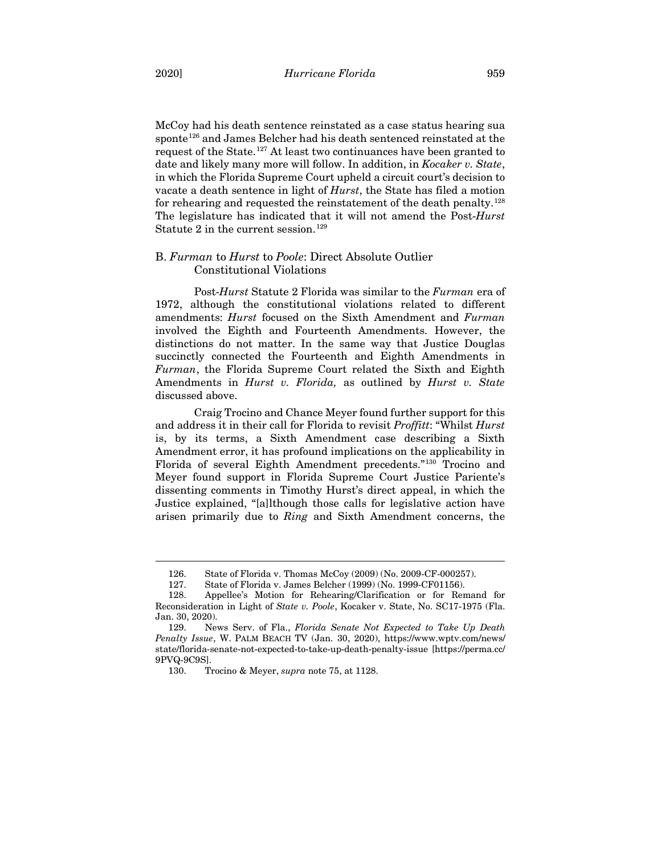McCoy had his death sentence reinstated as a case status hearing sua sponte<sup>[126](#page-22-1)</sup> and James Belcher had his death sentenced reinstated at the request of the State. [127](#page-22-2) At least two continuances have been granted to date and likely many more will follow. In addition, in *Kocaker v. State*, in which the Florida Supreme Court upheld a circuit court's decision to vacate a death sentence in light of *Hurst*, the State has filed a motion for rehearing and requested the reinstatement of the death penalty.[128](#page-22-3) The legislature has indicated that it will not amend the Post-*Hurst*  Statute 2 in the current session.<sup>[129](#page-22-4)</sup>

# <span id="page-22-0"></span>B. *Furman* to *Hurst* to *Poole*: Direct Absolute Outlier Constitutional Violations

Post-*Hurst* Statute 2 Florida was similar to the *Furman* era of 1972, although the constitutional violations related to different amendments: *Hurst* focused on the Sixth Amendment and *Furman* involved the Eighth and Fourteenth Amendments. However, the distinctions do not matter. In the same way that Justice Douglas succinctly connected the Fourteenth and Eighth Amendments in *Furman*, the Florida Supreme Court related the Sixth and Eighth Amendments in *Hurst v. Florida,* as outlined by *Hurst v. State*  discussed above.

Craig Trocino and Chance Meyer found further support for this and address it in their call for Florida to revisit *Proffitt*: "Whilst *Hurst*  is, by its terms, a Sixth Amendment case describing a Sixth Amendment error, it has profound implications on the applicability in Florida of several Eighth Amendment precedents."[130](#page-22-5) Trocino and Meyer found support in Florida Supreme Court Justice Pariente's dissenting comments in Timothy Hurst's direct appeal, in which the Justice explained, "[a]lthough those calls for legislative action have arisen primarily due to *Ring* and Sixth Amendment concerns, the

<sup>126.</sup> State of Florida v. Thomas McCoy (2009) (No. 2009-CF-000257).

<sup>127.</sup> State of Florida v. James Belcher (1999) (No. 1999-CF01156).

<span id="page-22-3"></span><span id="page-22-2"></span><span id="page-22-1"></span><sup>128.</sup> Appellee's Motion for Rehearing/Clarification or for Remand for Reconsideration in Light of *State v. Poole*, Kocaker v. State, No. SC17-1975 (Fla. Jan. 30, 2020).

<span id="page-22-5"></span><span id="page-22-4"></span><sup>129.</sup> News Serv. of Fla., *Florida Senate Not Expected to Take Up Death Penalty Issue*, W. PALM BEACH TV (Jan. 30, 2020), https://www.wptv.com/news/ state/florida-senate-not-expected-to-take-up-death-penalty-issue [https://perma.cc/ 9PVQ-9C9S].

<sup>130.</sup> Trocino & Meyer, *supra* not[e 75,](#page-14-7) at 1128.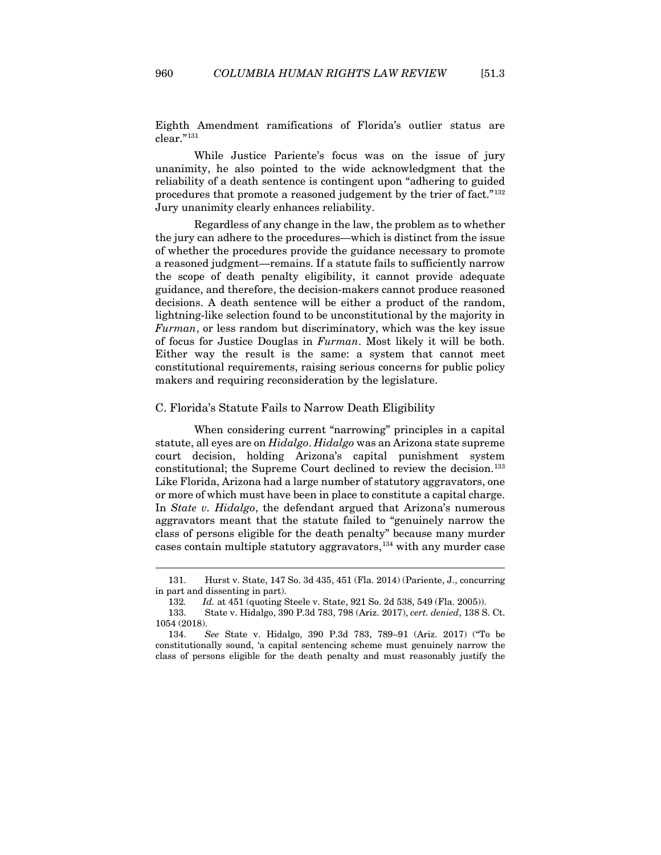Eighth Amendment ramifications of Florida's outlier status are clear."[131](#page-23-1)

While Justice Pariente's focus was on the issue of jury unanimity, he also pointed to the wide acknowledgment that the reliability of a death sentence is contingent upon "adhering to guided procedures that promote a reasoned judgement by the trier of fact."[132](#page-23-2) Jury unanimity clearly enhances reliability.

Regardless of any change in the law, the problem as to whether the jury can adhere to the procedures—which is distinct from the issue of whether the procedures provide the guidance necessary to promote a reasoned judgment—remains. If a statute fails to sufficiently narrow the scope of death penalty eligibility, it cannot provide adequate guidance, and therefore, the decision-makers cannot produce reasoned decisions. A death sentence will be either a product of the random, lightning-like selection found to be unconstitutional by the majority in *Furman*, or less random but discriminatory, which was the key issue of focus for Justice Douglas in *Furman*. Most likely it will be both. Either way the result is the same: a system that cannot meet constitutional requirements, raising serious concerns for public policy makers and requiring reconsideration by the legislature.

## <span id="page-23-0"></span>C. Florida's Statute Fails to Narrow Death Eligibility

When considering current "narrowing" principles in a capital statute, all eyes are on *Hidalgo*. *Hidalgo* was an Arizona state supreme court decision, holding Arizona's capital punishment system constitutional; the Supreme Court declined to review the decision.<sup>[133](#page-23-3)</sup> Like Florida, Arizona had a large number of statutory aggravators, one or more of which must have been in place to constitute a capital charge. In *State v. Hidalgo*, the defendant argued that Arizona's numerous aggravators meant that the statute failed to "genuinely narrow the class of persons eligible for the death penalty" because many murder cases contain multiple statutory aggravators,<sup>[134](#page-23-4)</sup> with any murder case

<span id="page-23-1"></span><sup>131.</sup> Hurst v. State, 147 So. 3d 435, 451 (Fla. 2014) (Pariente, J., concurring in part and dissenting in part).

<sup>132</sup>*. Id.* at 451 (quoting Steele v. State, 921 So. 2d 538, 549 (Fla. 2005)).

<span id="page-23-3"></span><span id="page-23-2"></span><sup>133.</sup> State v. Hidalgo, 390 P.3d 783, 798 (Ariz. 2017), *cert. denied*, 138 S. Ct. 1054 (2018).

<span id="page-23-4"></span><sup>134.</sup> *See* State v. Hidalgo, 390 P.3d 783, 789–91 (Ariz. 2017) ("To be constitutionally sound, 'a capital sentencing scheme must genuinely narrow the class of persons eligible for the death penalty and must reasonably justify the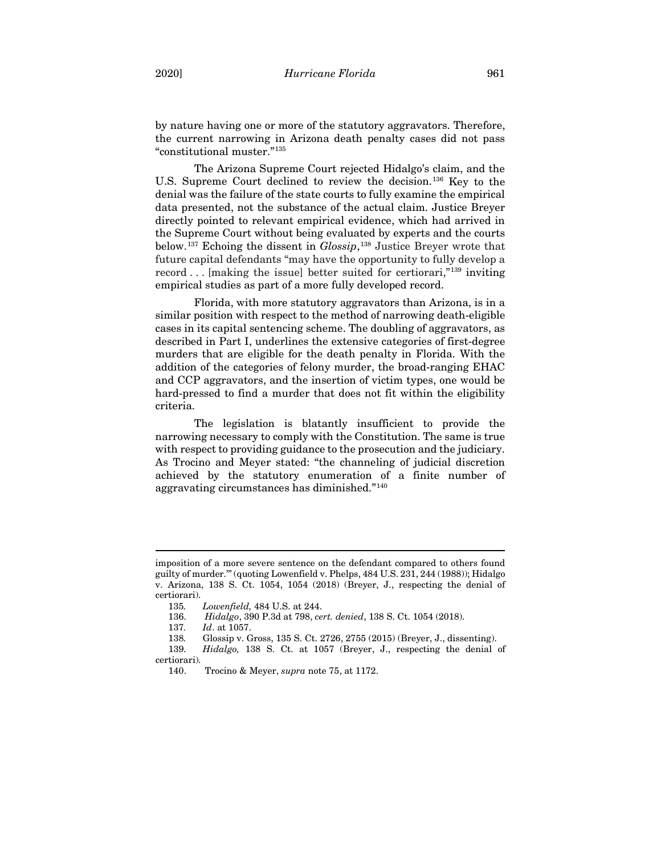by nature having one or more of the statutory aggravators. Therefore, the current narrowing in Arizona death penalty cases did not pass "constitutional muster."[135](#page-24-0)

The Arizona Supreme Court rejected Hidalgo's claim, and the U.S. Supreme Court declined to review the decision.<sup>[136](#page-24-1)</sup> Key to the denial was the failure of the state courts to fully examine the empirical data presented, not the substance of the actual claim. Justice Breyer directly pointed to relevant empirical evidence, which had arrived in the Supreme Court without being evaluated by experts and the courts below.[137](#page-24-2) Echoing the dissent in *Glossip*, [138](#page-24-3) Justice Breyer wrote that future capital defendants "may have the opportunity to fully develop a record . . . [making the issue] better suited for certiorari,"[139](#page-24-4) inviting empirical studies as part of a more fully developed record.

Florida, with more statutory aggravators than Arizona, is in a similar position with respect to the method of narrowing death-eligible cases in its capital sentencing scheme. The doubling of aggravators, as described in Part I, underlines the extensive categories of first-degree murders that are eligible for the death penalty in Florida. With the addition of the categories of felony murder, the broad-ranging EHAC and CCP aggravators, and the insertion of victim types, one would be hard-pressed to find a murder that does not fit within the eligibility criteria.

The legislation is blatantly insufficient to provide the narrowing necessary to comply with the Constitution. The same is true with respect to providing guidance to the prosecution and the judiciary. As Trocino and Meyer stated: "the channeling of judicial discretion achieved by the statutory enumeration of a finite number of aggravating circumstances has diminished."[140](#page-24-5)

<span id="page-24-0"></span>imposition of a more severe sentence on the defendant compared to others found guilty of murder.'" (quoting Lowenfield v. Phelps, 484 U.S. 231, 244 (1988)); Hidalgo v. Arizona, 138 S. Ct. 1054, 1054 (2018) (Breyer, J., respecting the denial of certiorari).

<sup>135</sup>*. Lowenfield,* 484 U.S. at 244.

<sup>136.</sup> *Hidalgo*, 390 P.3d at 798, *cert. denied*, 138 S. Ct. 1054 (2018).

<sup>137</sup>*. Id*. at 1057.

<span id="page-24-2"></span><span id="page-24-1"></span><sup>138</sup>*.* Glossip v. Gross, 135 S. Ct. 2726, 2755 (2015) (Breyer, J., dissenting). 139*. Hidalgo,* 138 S. Ct. at 1057 (Breyer, J., respecting the denial of

<span id="page-24-5"></span><span id="page-24-4"></span><span id="page-24-3"></span>certiorari).

<sup>140.</sup> Trocino & Meyer, *supra* not[e 75,](#page-14-7) at 1172.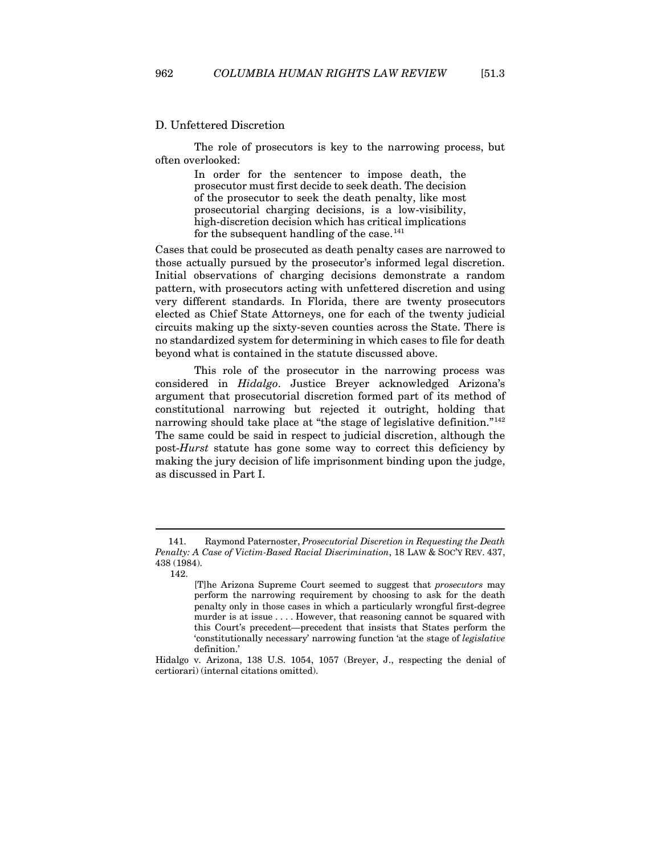## <span id="page-25-0"></span>D. Unfettered Discretion

The role of prosecutors is key to the narrowing process, but often overlooked:

> In order for the sentencer to impose death, the prosecutor must first decide to seek death. The decision of the prosecutor to seek the death penalty, like most prosecutorial charging decisions, is a low-visibility, high-discretion decision which has critical implications for the subsequent handling of the case.<sup>[141](#page-25-1)</sup>

Cases that could be prosecuted as death penalty cases are narrowed to those actually pursued by the prosecutor's informed legal discretion. Initial observations of charging decisions demonstrate a random pattern, with prosecutors acting with unfettered discretion and using very different standards. In Florida, there are twenty prosecutors elected as Chief State Attorneys, one for each of the twenty judicial circuits making up the sixty-seven counties across the State. There is no standardized system for determining in which cases to file for death beyond what is contained in the statute discussed above.

This role of the prosecutor in the narrowing process was considered in *Hidalgo*. Justice Breyer acknowledged Arizona's argument that prosecutorial discretion formed part of its method of constitutional narrowing but rejected it outright, holding that narrowing should take place at "the stage of legislative definition."[142](#page-25-2) The same could be said in respect to judicial discretion, although the post-*Hurst* statute has gone some way to correct this deficiency by making the jury decision of life imprisonment binding upon the judge, as discussed in Part I.

<span id="page-25-2"></span><span id="page-25-1"></span><sup>141.</sup> Raymond Paternoster, *Prosecutorial Discretion in Requesting the Death Penalty: A Case of Victim-Based Racial Discrimination*, 18 LAW & SOC'Y REV. 437, 438 (1984).

<sup>142.</sup>

<sup>[</sup>T]he Arizona Supreme Court seemed to suggest that *prosecutors* may perform the narrowing requirement by choosing to ask for the death penalty only in those cases in which a particularly wrongful first-degree murder is at issue . . . . However, that reasoning cannot be squared with this Court's precedent—precedent that insists that States perform the 'constitutionally necessary' narrowing function 'at the stage of *legislative* definition.'

Hidalgo v. Arizona, 138 U.S. 1054, 1057 (Breyer, J., respecting the denial of certiorari) (internal citations omitted).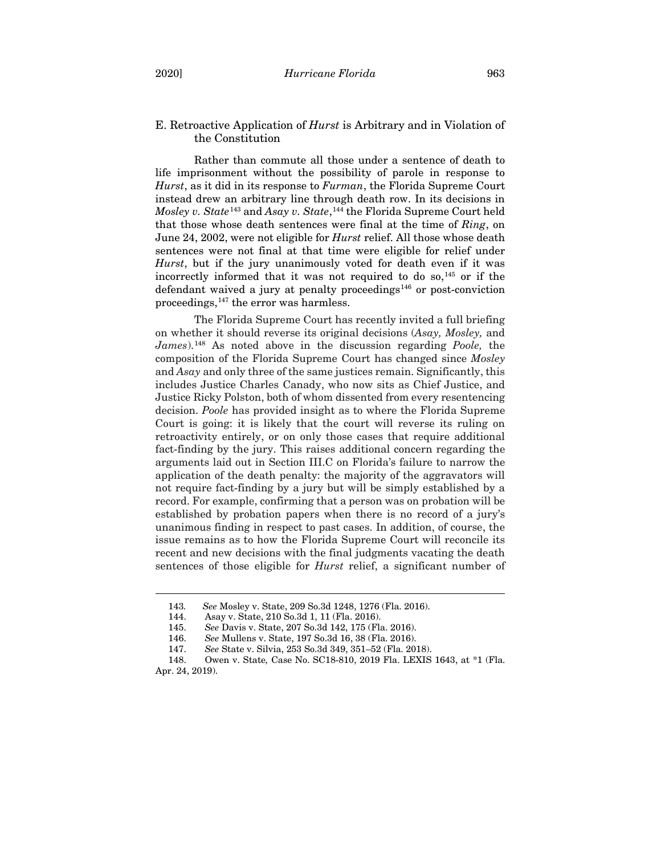# <span id="page-26-0"></span>E. Retroactive Application of *Hurst* is Arbitrary and in Violation of the Constitution

Rather than commute all those under a sentence of death to life imprisonment without the possibility of parole in response to *Hurst*, as it did in its response to *Furman*, the Florida Supreme Court instead drew an arbitrary line through death row. In its decisions in *Mosley v. State*[143](#page-26-1) and *Asay v. State*, [144](#page-26-2) the Florida Supreme Court held that those whose death sentences were final at the time of *Ring*, on June 24, 2002, were not eligible for *Hurst* relief. All those whose death sentences were not final at that time were eligible for relief under *Hurst*, but if the jury unanimously voted for death even if it was incorrectly informed that it was not required to do so, $^{145}$  $^{145}$  $^{145}$  or if the defendant waived a jury at penalty proceedings<sup>[146](#page-26-4)</sup> or post-conviction proceedings, [147](#page-26-5) the error was harmless.

The Florida Supreme Court has recently invited a full briefing on whether it should reverse its original decisions (*Asay, Mosley,* and *James*).[148](#page-26-6) As noted above in the discussion regarding *Poole,* the composition of the Florida Supreme Court has changed since *Mosley* and *Asay* and only three of the same justices remain. Significantly, this includes Justice Charles Canady, who now sits as Chief Justice, and Justice Ricky Polston, both of whom dissented from every resentencing decision. *Poole* has provided insight as to where the Florida Supreme Court is going: it is likely that the court will reverse its ruling on retroactivity entirely, or on only those cases that require additional fact-finding by the jury. This raises additional concern regarding the arguments laid out in Section III.C on Florida's failure to narrow the application of the death penalty: the majority of the aggravators will not require fact-finding by a jury but will be simply established by a record. For example, confirming that a person was on probation will be established by probation papers when there is no record of a jury's unanimous finding in respect to past cases. In addition, of course, the issue remains as to how the Florida Supreme Court will reconcile its recent and new decisions with the final judgments vacating the death sentences of those eligible for *Hurst* relief, a significant number of

<sup>143</sup>*. See* Mosley v. State, 209 So.3d 1248, 1276 (Fla. 2016).

<sup>144.</sup> Asay v. State, 210 So.3d 1, 11 (Fla. 2016).

<sup>145.</sup> *See* Davis v. State, 207 So.3d 142, 175 (Fla. 2016).

<sup>146.</sup> *See* Mullens v. State, 197 So.3d 16, 38 (Fla. 2016).

<sup>147.</sup> *See* State v. Silvia, 253 So.3d 349, 351–52 (Fla. 2018).

<span id="page-26-6"></span><span id="page-26-5"></span><span id="page-26-4"></span><span id="page-26-3"></span><span id="page-26-2"></span><span id="page-26-1"></span><sup>148.</sup> Owen v. State*,* Case No. SC18-810, 2019 Fla. LEXIS 1643, at \*1 (Fla. Apr. 24, 2019).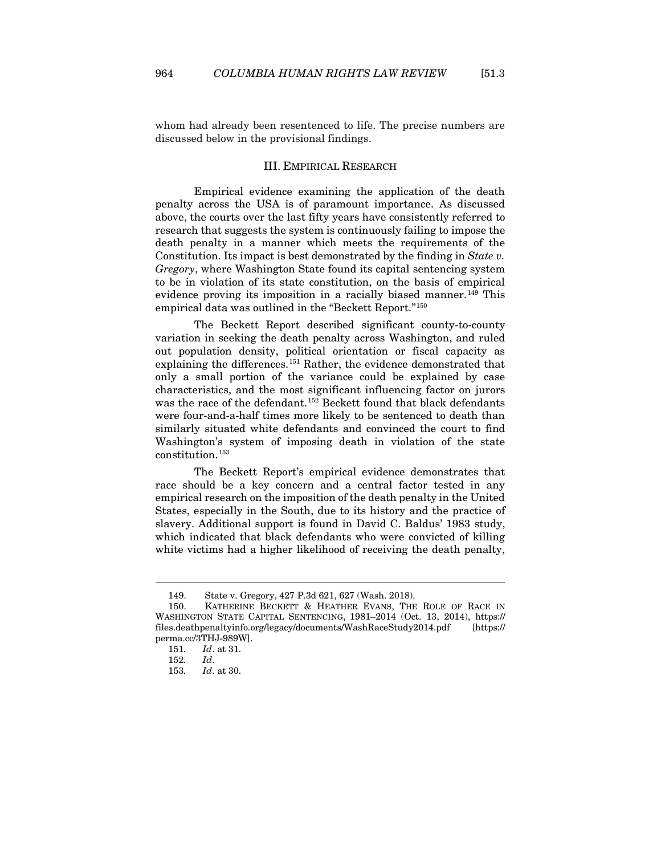<span id="page-27-0"></span>whom had already been resentenced to life. The precise numbers are discussed below in the provisional findings.

## III. EMPIRICAL RESEARCH

Empirical evidence examining the application of the death penalty across the USA is of paramount importance. As discussed above, the courts over the last fifty years have consistently referred to research that suggests the system is continuously failing to impose the death penalty in a manner which meets the requirements of the Constitution. Its impact is best demonstrated by the finding in *State v. Gregory*, where Washington State found its capital sentencing system to be in violation of its state constitution, on the basis of empirical evidence proving its imposition in a racially biased manner.<sup>[149](#page-27-1)</sup> This empirical data was outlined in the "Beckett Report."[150](#page-27-2)

The Beckett Report described significant county-to-county variation in seeking the death penalty across Washington, and ruled out population density, political orientation or fiscal capacity as explaining the differences.[151](#page-27-3) Rather, the evidence demonstrated that only a small portion of the variance could be explained by case characteristics, and the most significant influencing factor on jurors was the race of the defendant.[152](#page-27-4) Beckett found that black defendants were four-and-a-half times more likely to be sentenced to death than similarly situated white defendants and convinced the court to find Washington's system of imposing death in violation of the state constitution.[153](#page-27-5)

The Beckett Report's empirical evidence demonstrates that race should be a key concern and a central factor tested in any empirical research on the imposition of the death penalty in the United States, especially in the South, due to its history and the practice of slavery. Additional support is found in David C. Baldus' 1983 study, which indicated that black defendants who were convicted of killing white victims had a higher likelihood of receiving the death penalty,

<sup>149.</sup> State v. Gregory, 427 P.3d 621, 627 (Wash. 2018).

<span id="page-27-5"></span><span id="page-27-4"></span><span id="page-27-3"></span><span id="page-27-2"></span><span id="page-27-1"></span><sup>150.</sup> KATHERINE BECKETT & HEATHER EVANS, THE ROLE OF RACE IN WASHINGTON STATE CAPITAL SENTENCING, 1981–2014 (Oct. 13, 2014), https:// files.deathpenaltyinfo.org/legacy/documents/WashRaceStudy2014.pdf [https:// perma.cc/3THJ-989W].

<sup>151</sup>*. Id*. at 31.

<sup>152</sup>*. Id*.

<sup>153</sup>*. Id*. at 30.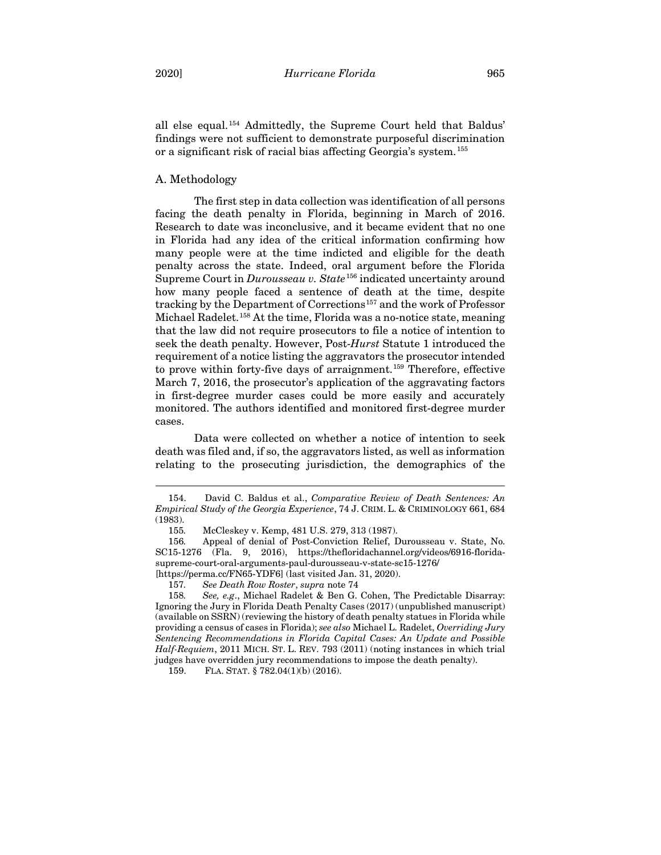all else equal.[154](#page-28-1) Admittedly, the Supreme Court held that Baldus' findings were not sufficient to demonstrate purposeful discrimination or a significant risk of racial bias affecting Georgia's system.[155](#page-28-2)

## <span id="page-28-0"></span>A. Methodology

The first step in data collection was identification of all persons facing the death penalty in Florida, beginning in March of 2016. Research to date was inconclusive, and it became evident that no one in Florida had any idea of the critical information confirming how many people were at the time indicted and eligible for the death penalty across the state. Indeed, oral argument before the Florida Supreme Court in *Durousseau v. State*<sup>[156](#page-28-3)</sup> indicated uncertainty around how many people faced a sentence of death at the time, despite tracking by the Department of Corrections[157](#page-28-4) and the work of Professor Michael Radelet.<sup>[158](#page-28-5)</sup> At the time, Florida was a no-notice state, meaning that the law did not require prosecutors to file a notice of intention to seek the death penalty. However, Post-*Hurst* Statute 1 introduced the requirement of a notice listing the aggravators the prosecutor intended to prove within forty-five days of arraignment.<sup>[159](#page-28-6)</sup> Therefore, effective March 7, 2016, the prosecutor's application of the aggravating factors in first-degree murder cases could be more easily and accurately monitored. The authors identified and monitored first-degree murder cases.

Data were collected on whether a notice of intention to seek death was filed and, if so, the aggravators listed, as well as information relating to the prosecuting jurisdiction, the demographics of the

<span id="page-28-6"></span>159. FLA. STAT. § 782.04(1)(b) (2016).

<span id="page-28-1"></span><sup>154.</sup> David C. Baldus et al., *Comparative Review of Death Sentences: An Empirical Study of the Georgia Experience*, 74 J. CRIM. L. & CRIMINOLOGY 661, 684 (1983).

<sup>155</sup>*.* McCleskey v. Kemp, 481 U.S. 279, 313 (1987).

<span id="page-28-3"></span><span id="page-28-2"></span><sup>156</sup>*.* Appeal of denial of Post-Conviction Relief, Durousseau v. State, No. SC15-1276 (Fla. 9, 2016), https://thefloridachannel.org/videos/6916-floridasupreme-court-oral-arguments-paul-durousseau-v-state-sc15-1276/

<sup>[</sup>https://perma.cc/FN65-YDF6] (last visited Jan. 31, 2020).

<sup>157</sup>*. See Death Row Roster*, *supra* not[e 74](#page-14-8)

<span id="page-28-5"></span><span id="page-28-4"></span><sup>158</sup>*. See, e.g*., Michael Radelet & Ben G. Cohen, The Predictable Disarray: Ignoring the Jury in Florida Death Penalty Cases (2017) (unpublished manuscript) (available on SSRN) (reviewing the history of death penalty statues in Florida while providing a census of cases in Florida); *see also* Michael L. Radelet, *Overriding Jury Sentencing Recommendations in Florida Capital Cases: An Update and Possible Half-Requiem*, 2011 MICH. ST. L. REV. 793 (2011) (noting instances in which trial judges have overridden jury recommendations to impose the death penalty).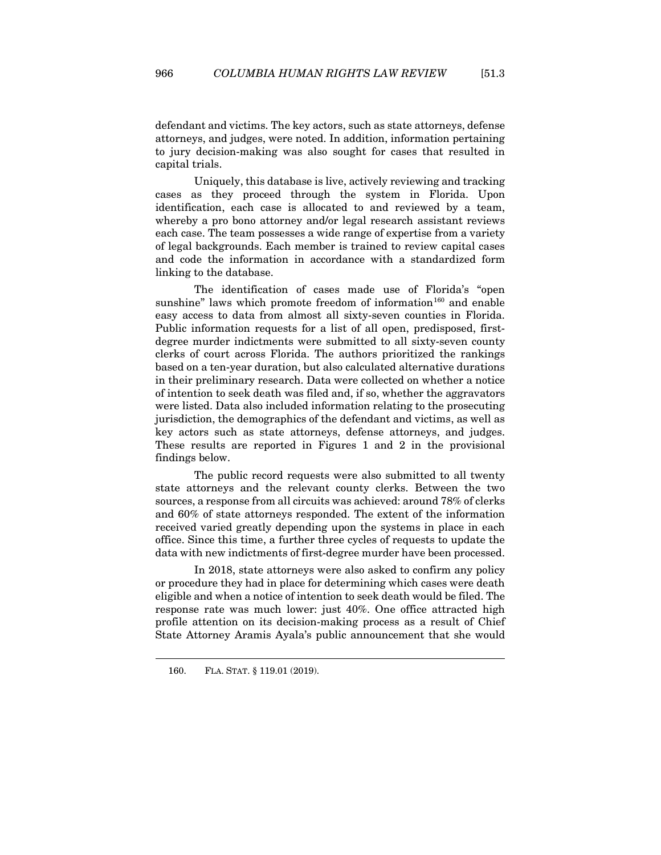defendant and victims. The key actors, such as state attorneys, defense attorneys, and judges, were noted. In addition, information pertaining to jury decision-making was also sought for cases that resulted in capital trials.

Uniquely, this database is live, actively reviewing and tracking cases as they proceed through the system in Florida. Upon identification, each case is allocated to and reviewed by a team, whereby a pro bono attorney and/or legal research assistant reviews each case. The team possesses a wide range of expertise from a variety of legal backgrounds. Each member is trained to review capital cases and code the information in accordance with a standardized form linking to the database.

The identification of cases made use of Florida's "open sunshine" laws which promote freedom of information<sup>[160](#page-29-0)</sup> and enable easy access to data from almost all sixty-seven counties in Florida. Public information requests for a list of all open, predisposed, firstdegree murder indictments were submitted to all sixty-seven county clerks of court across Florida. The authors prioritized the rankings based on a ten-year duration, but also calculated alternative durations in their preliminary research. Data were collected on whether a notice of intention to seek death was filed and, if so, whether the aggravators were listed. Data also included information relating to the prosecuting jurisdiction, the demographics of the defendant and victims, as well as key actors such as state attorneys, defense attorneys, and judges. These results are reported in Figures 1 and 2 in the provisional findings below.

The public record requests were also submitted to all twenty state attorneys and the relevant county clerks. Between the two sources, a response from all circuits was achieved: around 78% of clerks and 60% of state attorneys responded. The extent of the information received varied greatly depending upon the systems in place in each office. Since this time, a further three cycles of requests to update the data with new indictments of first-degree murder have been processed.

In 2018, state attorneys were also asked to confirm any policy or procedure they had in place for determining which cases were death eligible and when a notice of intention to seek death would be filed. The response rate was much lower: just 40%. One office attracted high profile attention on its decision-making process as a result of Chief State Attorney Aramis Ayala's public announcement that she would

<span id="page-29-0"></span><sup>160.</sup> FLA. STAT. § 119.01 (2019).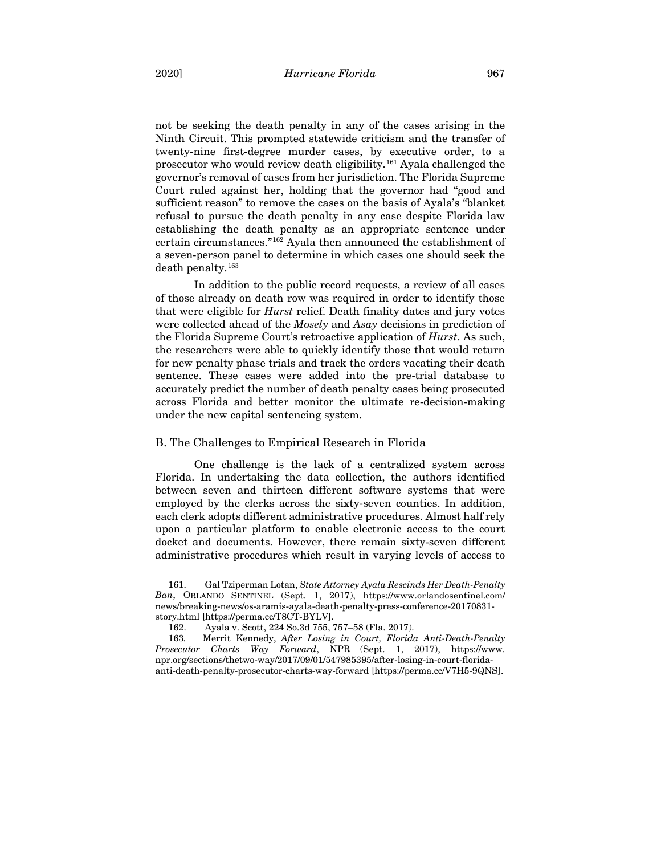not be seeking the death penalty in any of the cases arising in the Ninth Circuit. This prompted statewide criticism and the transfer of twenty-nine first-degree murder cases, by executive order, to a prosecutor who would review death eligibility.[161](#page-30-1) Ayala challenged the governor's removal of cases from her jurisdiction. The Florida Supreme Court ruled against her, holding that the governor had "good and sufficient reason" to remove the cases on the basis of Ayala's "blanket refusal to pursue the death penalty in any case despite Florida law establishing the death penalty as an appropriate sentence under certain circumstances."[162](#page-30-2) Ayala then announced the establishment of a seven-person panel to determine in which cases one should seek the death penalty.[163](#page-30-3)

In addition to the public record requests, a review of all cases of those already on death row was required in order to identify those that were eligible for *Hurst* relief. Death finality dates and jury votes were collected ahead of the *Mosely* and *Asay* decisions in prediction of the Florida Supreme Court's retroactive application of *Hurst*. As such, the researchers were able to quickly identify those that would return for new penalty phase trials and track the orders vacating their death sentence. These cases were added into the pre-trial database to accurately predict the number of death penalty cases being prosecuted across Florida and better monitor the ultimate re-decision-making under the new capital sentencing system.

## <span id="page-30-0"></span>B. The Challenges to Empirical Research in Florida

One challenge is the lack of a centralized system across Florida. In undertaking the data collection, the authors identified between seven and thirteen different software systems that were employed by the clerks across the sixty-seven counties. In addition, each clerk adopts different administrative procedures. Almost half rely upon a particular platform to enable electronic access to the court docket and documents. However, there remain sixty-seven different administrative procedures which result in varying levels of access to

<span id="page-30-1"></span><sup>161.</sup> Gal Tziperman Lotan, *State Attorney Ayala Rescinds Her Death-Penalty Ban*, ORLANDO SENTINEL (Sept. 1, 2017), https://www.orlandosentinel.com/ news/breaking-news/os-aramis-ayala-death-penalty-press-conference-20170831 story.html [https://perma.cc/T8CT-BYLV].

<sup>162.</sup> Ayala v. Scott, 224 So.3d 755, 757–58 (Fla. 2017).

<span id="page-30-3"></span><span id="page-30-2"></span><sup>163</sup>*.* Merrit Kennedy, *After Losing in Court, Florida Anti-Death-Penalty Prosecutor Charts Way Forward*, NPR (Sept. 1, 2017), https://www. npr.org/sections/thetwo-way/2017/09/01/547985395/after-losing-in-court-floridaanti-death-penalty-prosecutor-charts-way-forward [https://perma.cc/V7H5-9QNS].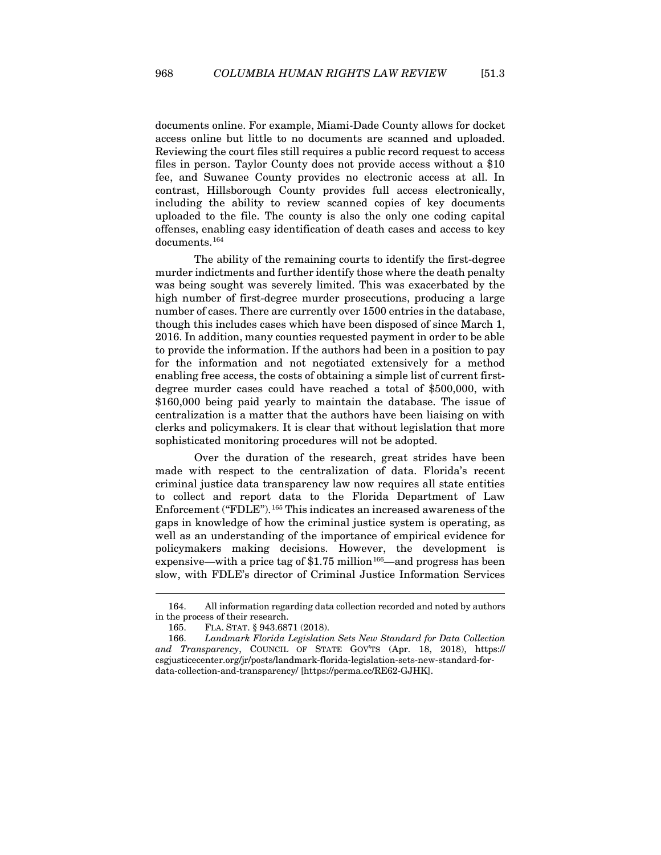documents online. For example, Miami-Dade County allows for docket access online but little to no documents are scanned and uploaded. Reviewing the court files still requires a public record request to access files in person. Taylor County does not provide access without a \$10 fee, and Suwanee County provides no electronic access at all. In contrast, Hillsborough County provides full access electronically, including the ability to review scanned copies of key documents uploaded to the file. The county is also the only one coding capital offenses, enabling easy identification of death cases and access to key documents.[164](#page-31-0)

The ability of the remaining courts to identify the first-degree murder indictments and further identify those where the death penalty was being sought was severely limited. This was exacerbated by the high number of first-degree murder prosecutions, producing a large number of cases. There are currently over 1500 entries in the database, though this includes cases which have been disposed of since March 1, 2016. In addition, many counties requested payment in order to be able to provide the information. If the authors had been in a position to pay for the information and not negotiated extensively for a method enabling free access, the costs of obtaining a simple list of current firstdegree murder cases could have reached a total of \$500,000, with \$160,000 being paid yearly to maintain the database. The issue of centralization is a matter that the authors have been liaising on with clerks and policymakers. It is clear that without legislation that more sophisticated monitoring procedures will not be adopted.

Over the duration of the research, great strides have been made with respect to the centralization of data. Florida's recent criminal justice data transparency law now requires all state entities to collect and report data to the Florida Department of Law Enforcement ("FDLE").<sup>[165](#page-31-1)</sup> This indicates an increased awareness of the gaps in knowledge of how the criminal justice system is operating, as well as an understanding of the importance of empirical evidence for policymakers making decisions. However, the development is expensive—with a price tag of  $$1.75$  million<sup>166</sup>—and progress has been slow, with FDLE's director of Criminal Justice Information Services

<span id="page-31-0"></span><sup>164.</sup> All information regarding data collection recorded and noted by authors in the process of their research.

<sup>165.</sup> FLA. STAT. § 943.6871 (2018).

<span id="page-31-2"></span><span id="page-31-1"></span><sup>166.</sup> *Landmark Florida Legislation Sets New Standard for Data Collection and Transparency*, COUNCIL OF STATE GOV'TS (Apr. 18, 2018), https:// csgjusticecenter.org/jr/posts/landmark-florida-legislation-sets-new-standard-fordata-collection-and-transparency/ [https://perma.cc/RE62-GJHK].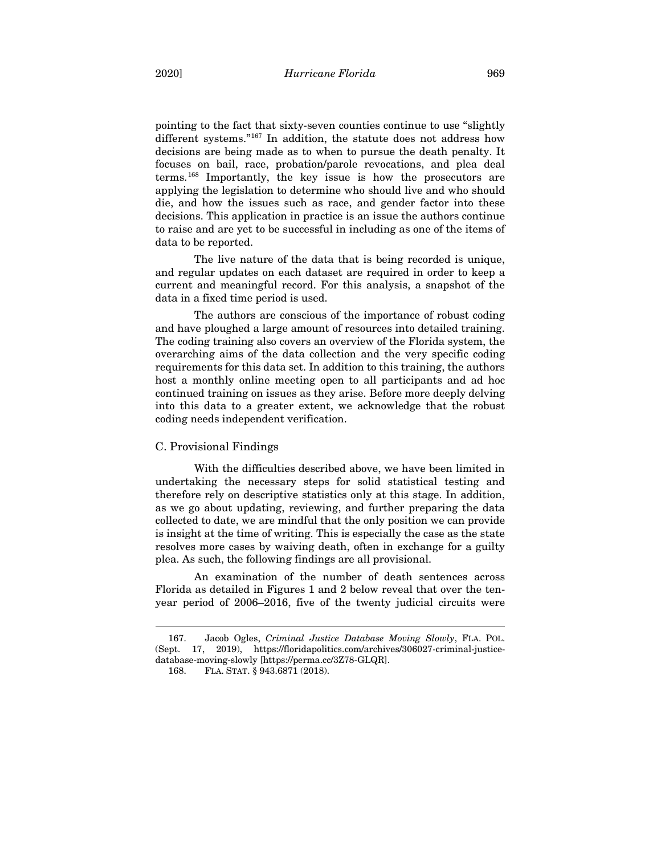pointing to the fact that sixty-seven counties continue to use "slightly different systems."<sup>[167](#page-32-1)</sup> In addition, the statute does not address how decisions are being made as to when to pursue the death penalty. It focuses on bail, race, probation/parole revocations, and plea deal terms.[168](#page-32-2) Importantly, the key issue is how the prosecutors are applying the legislation to determine who should live and who should die, and how the issues such as race, and gender factor into these decisions. This application in practice is an issue the authors continue to raise and are yet to be successful in including as one of the items of data to be reported.

The live nature of the data that is being recorded is unique, and regular updates on each dataset are required in order to keep a current and meaningful record. For this analysis, a snapshot of the data in a fixed time period is used.

The authors are conscious of the importance of robust coding and have ploughed a large amount of resources into detailed training. The coding training also covers an overview of the Florida system, the overarching aims of the data collection and the very specific coding requirements for this data set. In addition to this training, the authors host a monthly online meeting open to all participants and ad hoc continued training on issues as they arise. Before more deeply delving into this data to a greater extent, we acknowledge that the robust coding needs independent verification.

#### <span id="page-32-0"></span>C. Provisional Findings

With the difficulties described above, we have been limited in undertaking the necessary steps for solid statistical testing and therefore rely on descriptive statistics only at this stage. In addition, as we go about updating, reviewing, and further preparing the data collected to date, we are mindful that the only position we can provide is insight at the time of writing. This is especially the case as the state resolves more cases by waiving death, often in exchange for a guilty plea. As such, the following findings are all provisional.

An examination of the number of death sentences across Florida as detailed in Figures 1 and 2 below reveal that over the tenyear period of 2006–2016, five of the twenty judicial circuits were

<span id="page-32-2"></span><span id="page-32-1"></span><sup>167.</sup> Jacob Ogles, *Criminal Justice Database Moving Slowly*, FLA. POL. (Sept. 17, 2019), https://floridapolitics.com/archives/306027-criminal-justicedatabase-moving-slowly [https://perma.cc/3Z78-GLQR].

<sup>168.</sup> FLA. STAT. § 943.6871 (2018).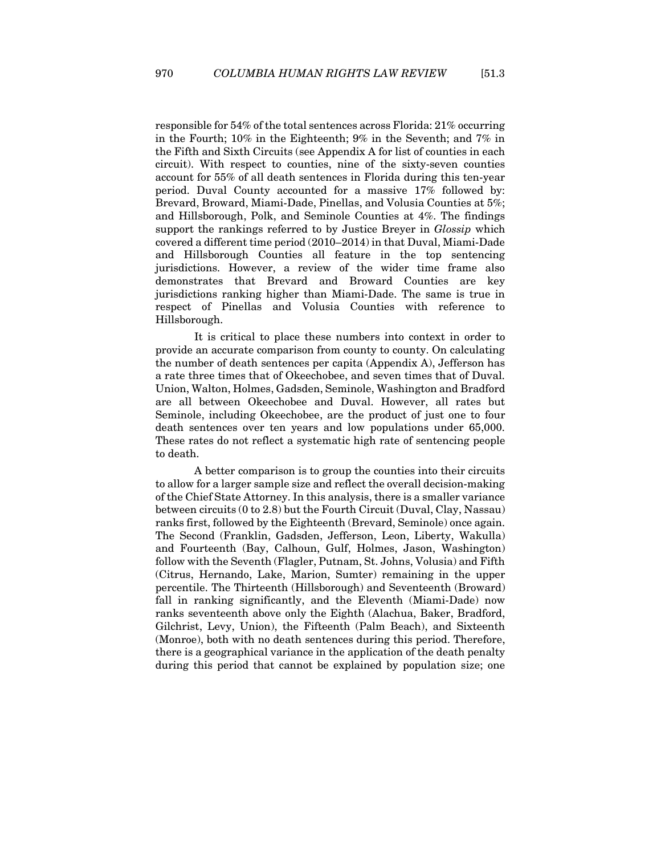responsible for 54% of the total sentences across Florida: 21% occurring in the Fourth; 10% in the Eighteenth; 9% in the Seventh; and 7% in the Fifth and Sixth Circuits (see Appendix A for list of counties in each circuit). With respect to counties, nine of the sixty-seven counties account for 55% of all death sentences in Florida during this ten-year period. Duval County accounted for a massive 17% followed by: Brevard, Broward, Miami-Dade, Pinellas, and Volusia Counties at 5%; and Hillsborough, Polk, and Seminole Counties at 4%. The findings support the rankings referred to by Justice Breyer in *Glossip* which covered a different time period (2010–2014) in that Duval, Miami-Dade and Hillsborough Counties all feature in the top sentencing jurisdictions. However, a review of the wider time frame also demonstrates that Brevard and Broward Counties are key jurisdictions ranking higher than Miami-Dade. The same is true in respect of Pinellas and Volusia Counties with reference to Hillsborough.

It is critical to place these numbers into context in order to provide an accurate comparison from county to county. On calculating the number of death sentences per capita (Appendix A), Jefferson has a rate three times that of Okeechobee, and seven times that of Duval. Union, Walton, Holmes, Gadsden, Seminole, Washington and Bradford are all between Okeechobee and Duval. However, all rates but Seminole, including Okeechobee, are the product of just one to four death sentences over ten years and low populations under 65,000. These rates do not reflect a systematic high rate of sentencing people to death.

A better comparison is to group the counties into their circuits to allow for a larger sample size and reflect the overall decision-making of the Chief State Attorney. In this analysis, there is a smaller variance between circuits (0 to 2.8) but the Fourth Circuit (Duval, Clay, Nassau) ranks first, followed by the Eighteenth (Brevard, Seminole) once again. The Second (Franklin, Gadsden, Jefferson, Leon, Liberty, Wakulla) and Fourteenth (Bay, Calhoun, Gulf, Holmes, Jason, Washington) follow with the Seventh (Flagler, Putnam, St. Johns, Volusia) and Fifth (Citrus, Hernando, Lake, Marion, Sumter) remaining in the upper percentile. The Thirteenth (Hillsborough) and Seventeenth (Broward) fall in ranking significantly, and the Eleventh (Miami-Dade) now ranks seventeenth above only the Eighth (Alachua, Baker, Bradford, Gilchrist, Levy, Union), the Fifteenth (Palm Beach), and Sixteenth (Monroe), both with no death sentences during this period. Therefore, there is a geographical variance in the application of the death penalty during this period that cannot be explained by population size; one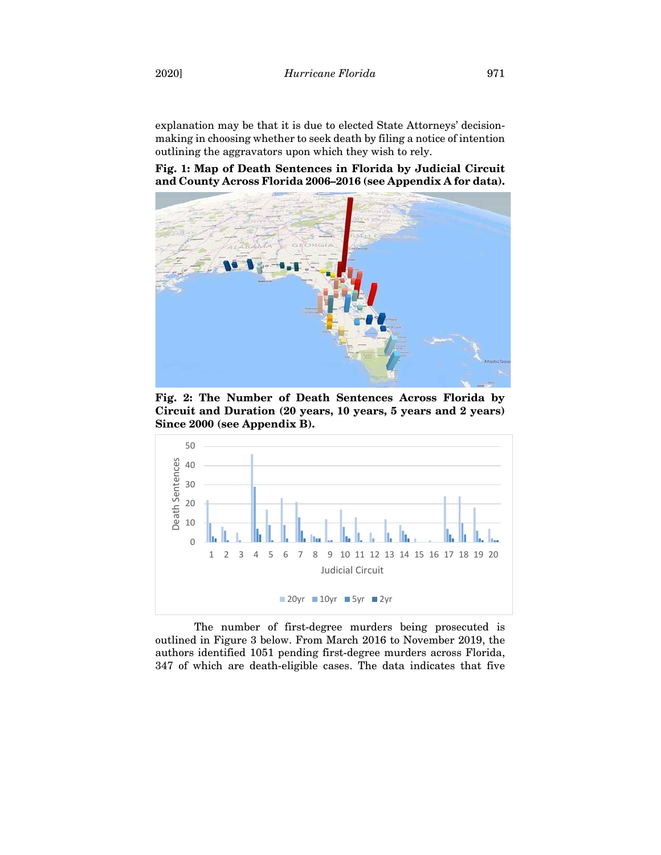explanation may be that it is due to elected State Attorneys' decisionmaking in choosing whether to seek death by filing a notice of intention outlining the aggravators upon which they wish to rely.

**Fig. 1: Map of Death Sentences in Florida by Judicial Circuit and County Across Florida 2006–2016 (see Appendix A for data).**



**Fig. 2: The Number of Death Sentences Across Florida by Circuit and Duration (20 years, 10 years, 5 years and 2 years) Since 2000 (see Appendix B).**



The number of first-degree murders being prosecuted is outlined in Figure 3 below. From March 2016 to November 2019, the authors identified 1051 pending first-degree murders across Florida, 347 of which are death-eligible cases. The data indicates that five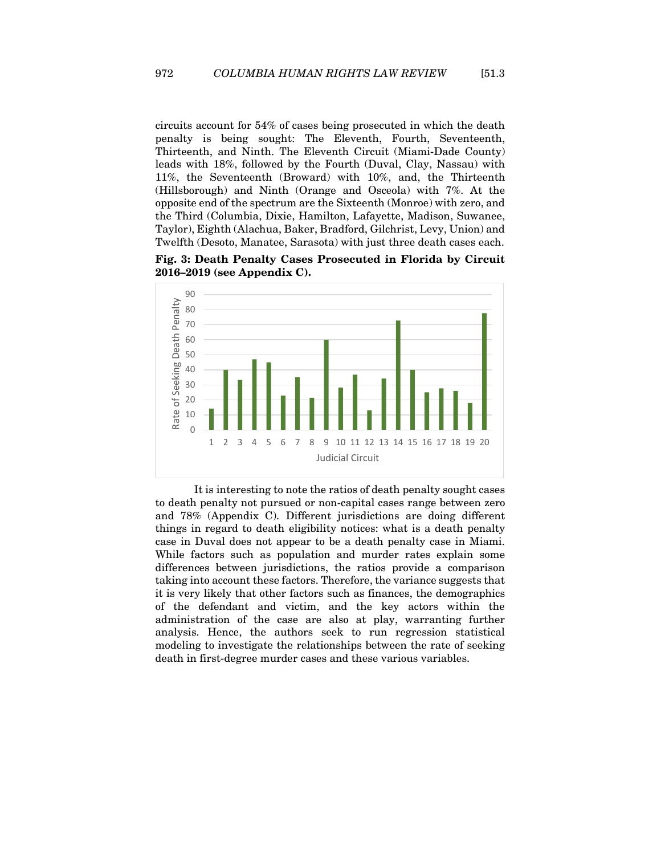circuits account for 54% of cases being prosecuted in which the death penalty is being sought: The Eleventh, Fourth, Seventeenth, Thirteenth, and Ninth. The Eleventh Circuit (Miami-Dade County) leads with 18%, followed by the Fourth (Duval, Clay, Nassau) with 11%, the Seventeenth (Broward) with 10%, and, the Thirteenth (Hillsborough) and Ninth (Orange and Osceola) with 7%. At the opposite end of the spectrum are the Sixteenth (Monroe) with zero, and the Third (Columbia, Dixie, Hamilton, Lafayette, Madison, Suwanee, Taylor), Eighth (Alachua, Baker, Bradford, Gilchrist, Levy, Union) and Twelfth (Desoto, Manatee, Sarasota) with just three death cases each.

**Fig. 3: Death Penalty Cases Prosecuted in Florida by Circuit 2016–2019 (see Appendix C).**



It is interesting to note the ratios of death penalty sought cases to death penalty not pursued or non-capital cases range between zero and 78% (Appendix C). Different jurisdictions are doing different things in regard to death eligibility notices: what is a death penalty case in Duval does not appear to be a death penalty case in Miami. While factors such as population and murder rates explain some differences between jurisdictions, the ratios provide a comparison taking into account these factors. Therefore, the variance suggests that it is very likely that other factors such as finances, the demographics of the defendant and victim, and the key actors within the administration of the case are also at play, warranting further analysis. Hence, the authors seek to run regression statistical modeling to investigate the relationships between the rate of seeking death in first-degree murder cases and these various variables.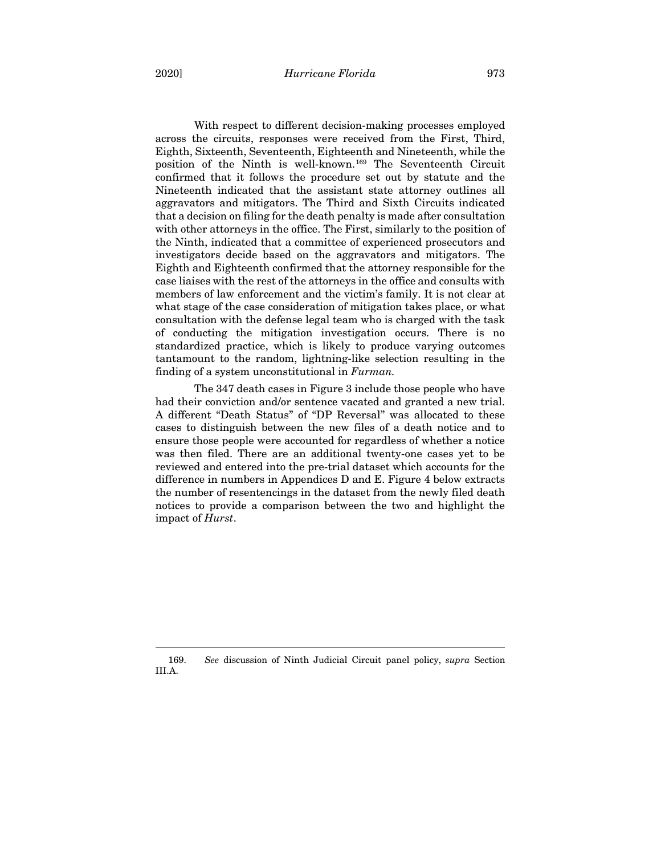2020] *Hurricane Florida* 973

With respect to different decision-making processes employed across the circuits, responses were received from the First, Third, Eighth, Sixteenth, Seventeenth, Eighteenth and Nineteenth, while the position of the Ninth is well-known.[169](#page-36-0) The Seventeenth Circuit confirmed that it follows the procedure set out by statute and the Nineteenth indicated that the assistant state attorney outlines all aggravators and mitigators. The Third and Sixth Circuits indicated that a decision on filing for the death penalty is made after consultation with other attorneys in the office. The First, similarly to the position of the Ninth, indicated that a committee of experienced prosecutors and investigators decide based on the aggravators and mitigators. The Eighth and Eighteenth confirmed that the attorney responsible for the case liaises with the rest of the attorneys in the office and consults with members of law enforcement and the victim's family. It is not clear at what stage of the case consideration of mitigation takes place, or what consultation with the defense legal team who is charged with the task of conducting the mitigation investigation occurs. There is no standardized practice, which is likely to produce varying outcomes tantamount to the random, lightning-like selection resulting in the finding of a system unconstitutional in *Furman.*

The 347 death cases in Figure 3 include those people who have had their conviction and/or sentence vacated and granted a new trial. A different "Death Status" of "DP Reversal" was allocated to these cases to distinguish between the new files of a death notice and to ensure those people were accounted for regardless of whether a notice was then filed. There are an additional twenty-one cases yet to be reviewed and entered into the pre-trial dataset which accounts for the difference in numbers in Appendices D and E. Figure 4 below extracts the number of resentencings in the dataset from the newly filed death notices to provide a comparison between the two and highlight the impact of *Hurst*.

<span id="page-36-0"></span><sup>169.</sup> *See* discussion of Ninth Judicial Circuit panel policy, *supra* Section III.A.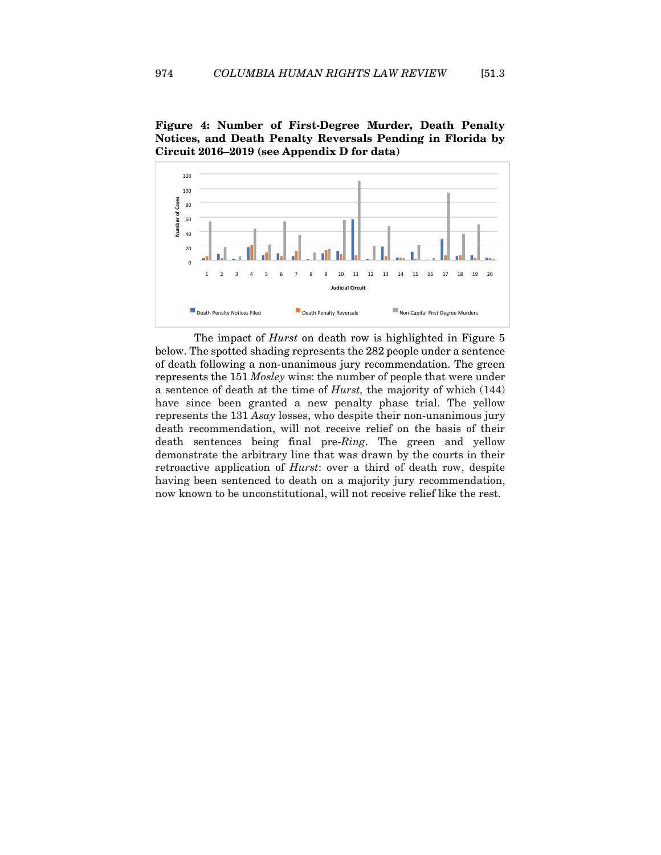



The impact of *Hurst* on death row is highlighted in Figure 5 below. The spotted shading represents the 282 people under a sentence of death following a non-unanimous jury recommendation. The green represents the 151 *Mosley* wins: the number of people that were under a sentence of death at the time of *Hurst,* the majority of which (144) have since been granted a new penalty phase trial. The yellow represents the 131 *Asay* losses, who despite their non-unanimous jury death recommendation, will not receive relief on the basis of their death sentences being final pre-*Ring*. The green and yellow demonstrate the arbitrary line that was drawn by the courts in their retroactive application of *Hurst*: over a third of death row, despite having been sentenced to death on a majority jury recommendation, now known to be unconstitutional, will not receive relief like the rest.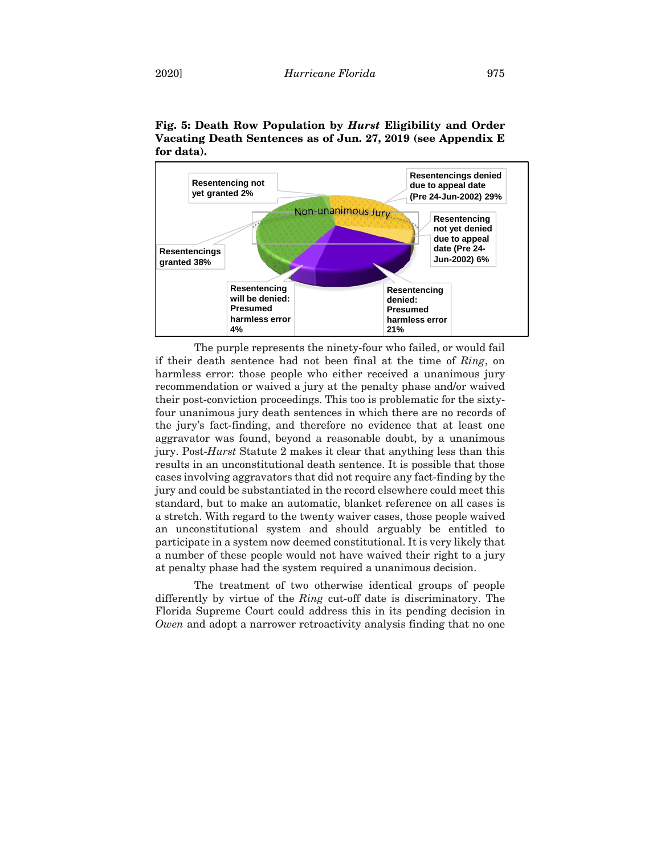

**Fig. 5: Death Row Population by** *Hurst* **Eligibility and Order Vacating Death Sentences as of Jun. 27, 2019 (see Appendix E for data).**

The purple represents the ninety-four who failed, or would fail if their death sentence had not been final at the time of *Ring*, on harmless error: those people who either received a unanimous jury recommendation or waived a jury at the penalty phase and/or waived their post-conviction proceedings. This too is problematic for the sixtyfour unanimous jury death sentences in which there are no records of the jury's fact-finding, and therefore no evidence that at least one aggravator was found, beyond a reasonable doubt, by a unanimous jury. Post-*Hurst* Statute 2 makes it clear that anything less than this results in an unconstitutional death sentence. It is possible that those cases involving aggravators that did not require any fact-finding by the jury and could be substantiated in the record elsewhere could meet this standard, but to make an automatic, blanket reference on all cases is a stretch. With regard to the twenty waiver cases, those people waived an unconstitutional system and should arguably be entitled to participate in a system now deemed constitutional. It is very likely that a number of these people would not have waived their right to a jury at penalty phase had the system required a unanimous decision.

The treatment of two otherwise identical groups of people differently by virtue of the *Ring* cut-off date is discriminatory. The Florida Supreme Court could address this in its pending decision in *Owen* and adopt a narrower retroactivity analysis finding that no one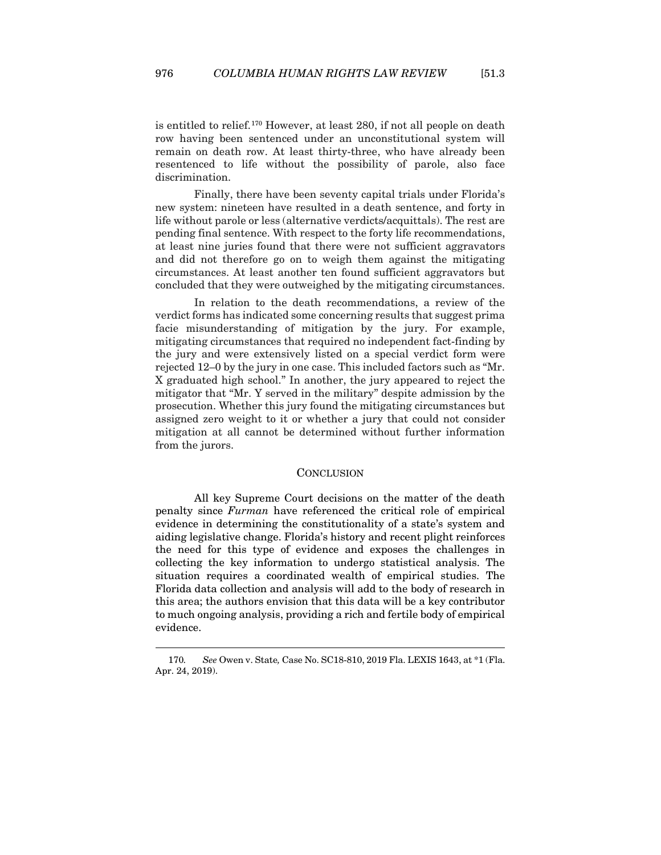is entitled to relief.[170](#page-39-1) However, at least 280, if not all people on death row having been sentenced under an unconstitutional system will remain on death row. At least thirty-three, who have already been resentenced to life without the possibility of parole, also face discrimination.

Finally, there have been seventy capital trials under Florida's new system: nineteen have resulted in a death sentence, and forty in life without parole or less (alternative verdicts/acquittals). The rest are pending final sentence. With respect to the forty life recommendations, at least nine juries found that there were not sufficient aggravators and did not therefore go on to weigh them against the mitigating circumstances. At least another ten found sufficient aggravators but concluded that they were outweighed by the mitigating circumstances.

In relation to the death recommendations, a review of the verdict forms has indicated some concerning results that suggest prima facie misunderstanding of mitigation by the jury. For example, mitigating circumstances that required no independent fact-finding by the jury and were extensively listed on a special verdict form were rejected 12–0 by the jury in one case. This included factors such as "Mr. X graduated high school." In another, the jury appeared to reject the mitigator that "Mr. Y served in the military" despite admission by the prosecution. Whether this jury found the mitigating circumstances but assigned zero weight to it or whether a jury that could not consider mitigation at all cannot be determined without further information from the jurors.

#### **CONCLUSION**

<span id="page-39-0"></span>All key Supreme Court decisions on the matter of the death penalty since *Furman* have referenced the critical role of empirical evidence in determining the constitutionality of a state's system and aiding legislative change. Florida's history and recent plight reinforces the need for this type of evidence and exposes the challenges in collecting the key information to undergo statistical analysis. The situation requires a coordinated wealth of empirical studies. The Florida data collection and analysis will add to the body of research in this area; the authors envision that this data will be a key contributor to much ongoing analysis, providing a rich and fertile body of empirical evidence.

<span id="page-39-1"></span><sup>170</sup>*. See* Owen v. State*,* Case No. SC18-810, 2019 Fla. LEXIS 1643, at \*1 (Fla. Apr. 24, 2019).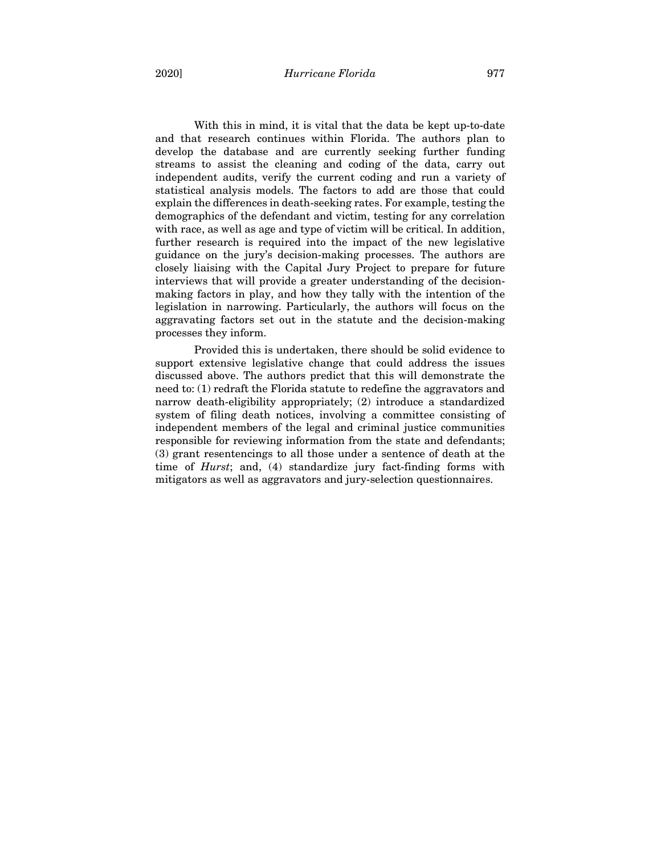2020] *Hurricane Florida* 977

With this in mind, it is vital that the data be kept up-to-date and that research continues within Florida. The authors plan to develop the database and are currently seeking further funding streams to assist the cleaning and coding of the data, carry out independent audits, verify the current coding and run a variety of statistical analysis models. The factors to add are those that could explain the differences in death-seeking rates. For example, testing the demographics of the defendant and victim, testing for any correlation with race, as well as age and type of victim will be critical. In addition, further research is required into the impact of the new legislative guidance on the jury's decision-making processes. The authors are closely liaising with the Capital Jury Project to prepare for future interviews that will provide a greater understanding of the decisionmaking factors in play, and how they tally with the intention of the legislation in narrowing. Particularly, the authors will focus on the aggravating factors set out in the statute and the decision-making processes they inform.

Provided this is undertaken, there should be solid evidence to support extensive legislative change that could address the issues discussed above. The authors predict that this will demonstrate the need to: (1) redraft the Florida statute to redefine the aggravators and narrow death-eligibility appropriately; (2) introduce a standardized system of filing death notices, involving a committee consisting of independent members of the legal and criminal justice communities responsible for reviewing information from the state and defendants; (3) grant resentencings to all those under a sentence of death at the time of *Hurst*; and, (4) standardize jury fact-finding forms with mitigators as well as aggravators and jury-selection questionnaires.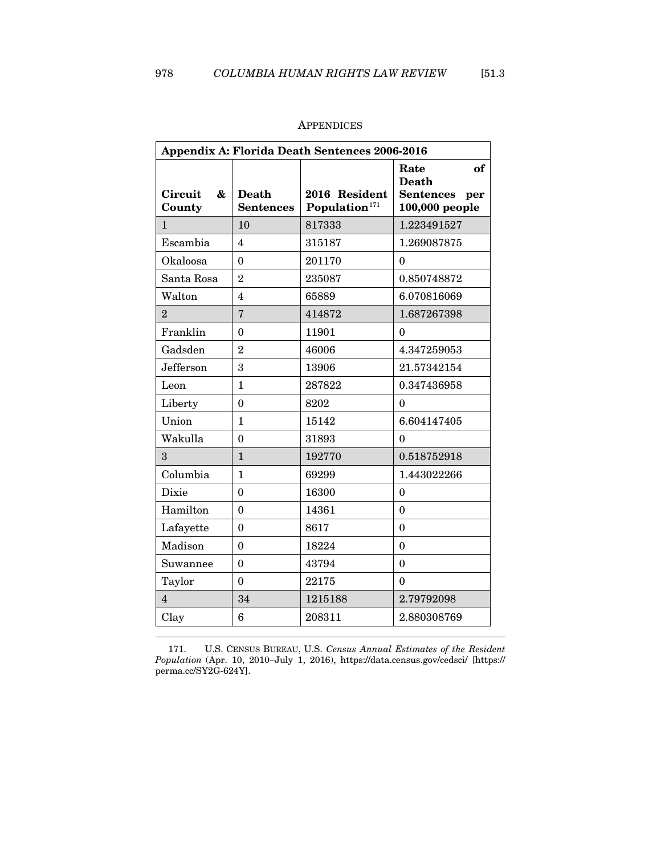<span id="page-41-0"></span>

| Appendix A: Florida Death Sentences 2006-2016 |                                  |                                            |                                                                         |  |
|-----------------------------------------------|----------------------------------|--------------------------------------------|-------------------------------------------------------------------------|--|
| <b>Circuit</b><br>&<br>County                 | <b>Death</b><br><b>Sentences</b> | 2016 Resident<br>Population <sup>171</sup> | Rate<br>of<br><b>Death</b><br><b>Sentences</b><br>per<br>100,000 people |  |
| $\mathbf{1}$                                  | 10                               | 817333                                     | 1.223491527                                                             |  |
| Escambia                                      | 4                                | 315187                                     | 1.269087875                                                             |  |
| Okaloosa                                      | $\theta$                         | 201170                                     | $\theta$                                                                |  |
| Santa Rosa                                    | $\overline{2}$                   | 235087                                     | 0.850748872                                                             |  |
| Walton                                        | $\overline{4}$                   | 65889                                      | 6.070816069                                                             |  |
| $\overline{2}$                                | $\overline{7}$                   | 414872                                     | 1.687267398                                                             |  |
| Franklin                                      | $\theta$                         | 11901                                      | 0                                                                       |  |
| Gadsden                                       | $\overline{2}$                   | 46006                                      | 4.347259053                                                             |  |
| Jefferson                                     | 3                                | 13906                                      | 21.57342154                                                             |  |
| Leon                                          | $\mathbf{1}$                     | 287822                                     | 0.347436958                                                             |  |
| Liberty                                       | $\theta$                         | 8202                                       | $\theta$                                                                |  |
| Union                                         | $\mathbf{1}$                     | 15142                                      | 6.604147405                                                             |  |
| Wakulla                                       | $\theta$                         | 31893                                      | $\theta$                                                                |  |
| 3                                             | $\mathbf{1}$                     | 192770                                     | 0.518752918                                                             |  |
| Columbia                                      | $\mathbf{1}$                     | 69299                                      | 1.443022266                                                             |  |
| Dixie                                         | 0                                | 16300                                      | $\theta$                                                                |  |
| Hamilton                                      | $\theta$                         | 14361                                      | $\theta$                                                                |  |
| Lafayette                                     | $\mathbf{0}$                     | 8617                                       | $\theta$                                                                |  |
| Madison                                       | $\theta$                         | 18224                                      | $\theta$                                                                |  |
| Suwannee                                      | $\overline{0}$                   | 43794                                      | $\mathbf{0}$                                                            |  |
| Taylor                                        | $\mathbf{0}$                     | 22175                                      | $\Omega$                                                                |  |
| $\overline{4}$                                | 34                               | 1215188                                    | 2.79792098                                                              |  |
| Clay                                          | 6                                | 208311                                     | 2.880308769                                                             |  |

## APPENDICES

<span id="page-41-1"></span>171. U.S. CENSUS BUREAU, U.S. *Census Annual Estimates of the Resident Population* (Apr. 10, 2010–July 1, 2016), https://data.census.gov/cedsci/ [https:// perma.cc/SY2G-624Y].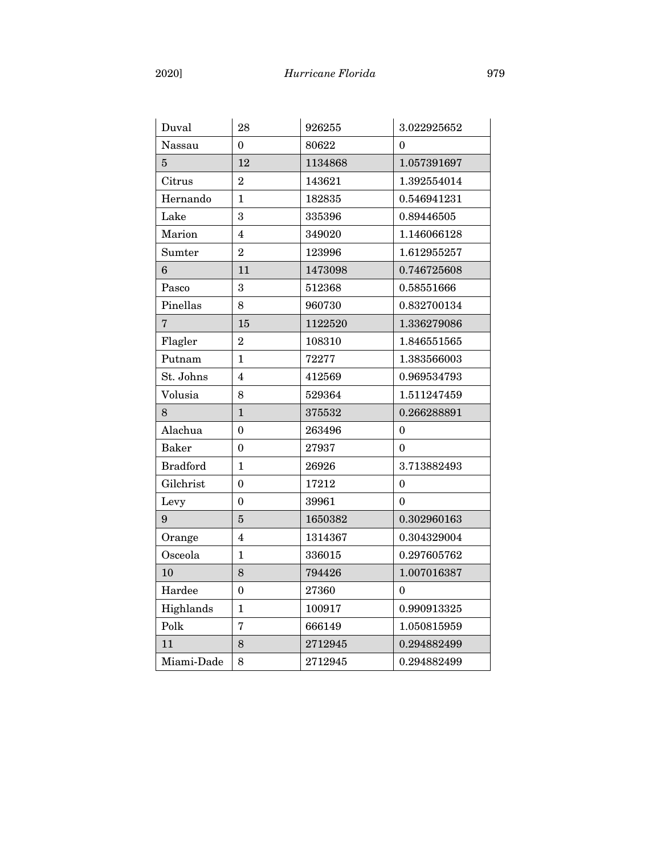| Duval           | 28               | 926255  | 3.022925652 |
|-----------------|------------------|---------|-------------|
| Nassau          | 0                | 80622   | $\theta$    |
| $\overline{5}$  | 12               | 1134868 | 1.057391697 |
| Citrus          | $\overline{2}$   | 143621  | 1.392554014 |
| Hernando        | 1                | 182835  | 0.546941231 |
| Lake            | 3                | 335396  | 0.89446505  |
| Marion          | 4                | 349020  | 1.146066128 |
| Sumter          | $\overline{2}$   | 123996  | 1.612955257 |
| 6               | 11               | 1473098 | 0.746725608 |
| Pasco           | 3                | 512368  | 0.58551666  |
| Pinellas        | 8                | 960730  | 0.832700134 |
| $\overline{7}$  | 15               | 1122520 | 1.336279086 |
| Flagler         | $\overline{2}$   | 108310  | 1.846551565 |
| Putnam          | 1                | 72277   | 1.383566003 |
| St. Johns       | 4                | 412569  | 0.969534793 |
| Volusia         | 8                | 529364  | 1.511247459 |
| 8               | $\mathbf{1}$     | 375532  | 0.266288891 |
| Alachua         | $\mathbf{0}$     | 263496  | 0           |
| <b>Baker</b>    | $\mathbf{0}$     | 27937   | $\Omega$    |
| <b>Bradford</b> | $\mathbf{1}$     | 26926   | 3.713882493 |
| Gilchrist       | $\theta$         | 17212   | $\theta$    |
| Levy            | $\boldsymbol{0}$ | 39961   | 0           |
| 9               | 5                | 1650382 | 0.302960163 |
| Orange          | 4                | 1314367 | 0.304329004 |
| Osceola         | $\mathbf{1}$     | 336015  | 0.297605762 |
| 10              | 8                | 794426  | 1.007016387 |
| Hardee          | 0                | 27360   | $\theta$    |
| Highlands       | $\mathbf{1}$     | 100917  | 0.990913325 |
| Polk            | $\overline{7}$   | 666149  | 1.050815959 |
| 11              | 8                | 2712945 | 0.294882499 |
| Miami-Dade      | 8                | 2712945 | 0.294882499 |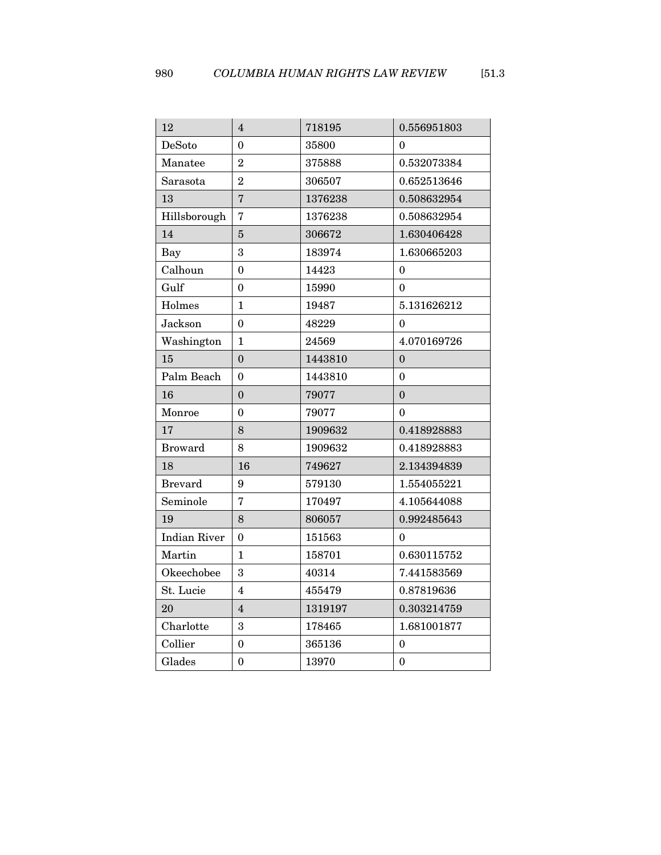| 12                  | 4                       | 718195  | 0.556951803      |
|---------------------|-------------------------|---------|------------------|
| DeSoto              | $\theta$                | 35800   | 0                |
| Manatee             | $\overline{2}$          | 375888  | 0.532073384      |
| Sarasota            | $\overline{2}$          | 306507  | 0.652513646      |
| 13                  | $\overline{7}$          | 1376238 | 0.508632954      |
| Hillsborough        | $\overline{7}$          | 1376238 | 0.508632954      |
| 14                  | 5                       | 306672  | 1.630406428      |
| Bay                 | 3                       | 183974  | 1.630665203      |
| Calhoun             | $\mathbf{0}$            | 14423   | $\theta$         |
| Gulf                | 0                       | 15990   | $\theta$         |
| Holmes              | $\mathbf{1}$            | 19487   | 5.131626212      |
| Jackson             | $\mathbf{0}$            | 48229   | $\theta$         |
| Washington          | 1                       | 24569   | 4.070169726      |
| 15                  | $\mathbf{0}$            | 1443810 | $\mathbf{0}$     |
| Palm Beach          | $\theta$                | 1443810 | $\theta$         |
| 16                  | $\boldsymbol{0}$        | 79077   | $\boldsymbol{0}$ |
| Monroe              | $\mathbf{0}$            | 79077   | $\mathbf{0}$     |
| 17                  | 8                       | 1909632 | 0.418928883      |
| <b>Broward</b>      | 8                       | 1909632 | 0.418928883      |
| 18                  | 16                      | 749627  | 2.134394839      |
| <b>Brevard</b>      | 9                       | 579130  | 1.554055221      |
| Seminole            | $\overline{7}$          | 170497  | 4.105644088      |
| 19                  | 8                       | 806057  | 0.992485643      |
| <b>Indian River</b> | $\boldsymbol{0}$        | 151563  | $\theta$         |
| Martin              | $\mathbf{1}$            | 158701  | 0.630115752      |
| Okeechobee          | 3                       | 40314   | 7.441583569      |
| St. Lucie           | $\overline{\mathbf{4}}$ | 455479  | 0.87819636       |
| 20                  | $\overline{4}$          | 1319197 | 0.303214759      |
| Charlotte           | 3                       | 178465  | 1.681001877      |
| Collier             | $\mathbf{0}$            | 365136  | 0                |
| Glades              | $\mathbf{0}$            | 13970   | $\overline{0}$   |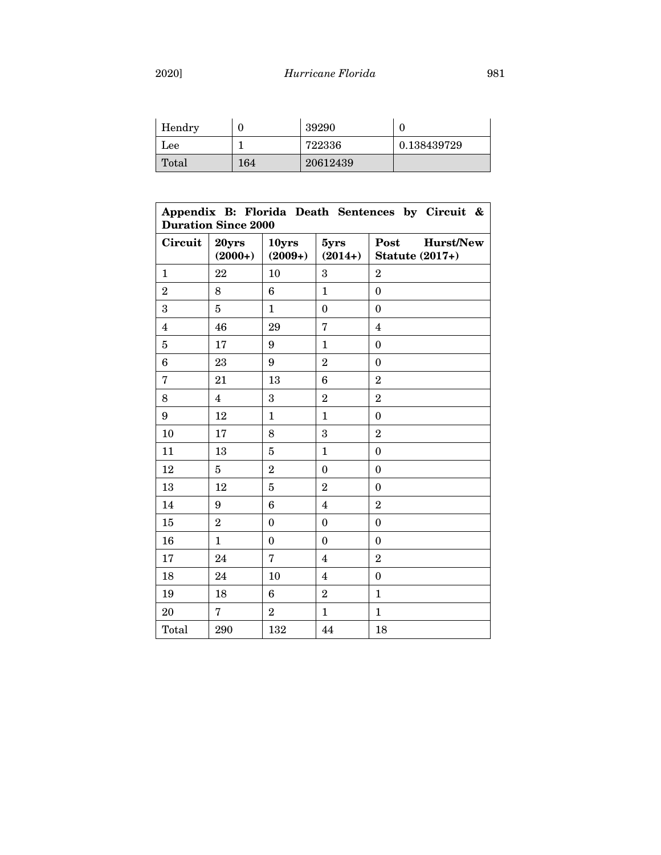|--|

| Hendry |     | 39290    |             |
|--------|-----|----------|-------------|
| Lee    |     | 722336   | 0.138439729 |
| Total  | 164 | 20612439 |             |

| Appendix B: Florida Death Sentences by Circuit &<br><b>Duration Since 2000</b> |                         |                    |                         |                                             |
|--------------------------------------------------------------------------------|-------------------------|--------------------|-------------------------|---------------------------------------------|
| Circuit                                                                        | 20yrs<br>$(2000+)$      | 10yrs<br>$(2009+)$ | 5yrs<br>$(2014+)$       | Post<br>Hurst/New<br><b>Statute (2017+)</b> |
| 1                                                                              | 22                      | 10                 | 3                       | $\overline{2}$                              |
| $\overline{2}$                                                                 | 8                       | 6                  | $\mathbf{1}$            | $\mathbf{0}$                                |
| 3                                                                              | 5                       | $\mathbf{1}$       | $\boldsymbol{0}$        | $\mathbf{0}$                                |
| $\overline{4}$                                                                 | 46                      | 29                 | $\overline{7}$          | 4                                           |
| $\overline{5}$                                                                 | 17                      | 9                  | $\mathbf{1}$            | $\boldsymbol{0}$                            |
| $6\phantom{1}6$                                                                | 23                      | 9                  | $\overline{2}$          | $\mathbf{0}$                                |
| $\overline{7}$                                                                 | 21                      | 13                 | 6                       | $\overline{2}$                              |
| 8                                                                              | $\overline{\mathbf{4}}$ | 3                  | $\overline{2}$          | $\overline{2}$                              |
| 9                                                                              | 12                      | $\mathbf{1}$       | $\mathbf{1}$            | $\theta$                                    |
| 10                                                                             | 17                      | 8                  | 3                       | $\overline{2}$                              |
| 11                                                                             | 13                      | $\overline{5}$     | $\mathbf{1}$            | $\boldsymbol{0}$                            |
| 12                                                                             | $\overline{5}$          | $\overline{2}$     | $\boldsymbol{0}$        | $\mathbf{0}$                                |
| 13                                                                             | 12                      | 5                  | $\overline{2}$          | $\mathbf{0}$                                |
| 14                                                                             | 9                       | 6                  | $\overline{4}$          | $\overline{2}$                              |
| 15                                                                             | $\overline{2}$          | $\theta$           | $\theta$                | $\theta$                                    |
| 16                                                                             | $\mathbf{1}$            | $\theta$           | $\theta$                | $\Omega$                                    |
| 17                                                                             | 24                      | 7                  | 4                       | $\overline{2}$                              |
| 18                                                                             | 24                      | 10                 | $\overline{\mathbf{4}}$ | $\mathbf{0}$                                |
| 19                                                                             | 18                      | 6                  | $\overline{2}$          | $\mathbf{1}$                                |
| 20                                                                             | $\overline{7}$          | $\overline{2}$     | $\mathbf{1}$            | $\mathbf{1}$                                |
| Total                                                                          | 290                     | 132                | 44                      | 18                                          |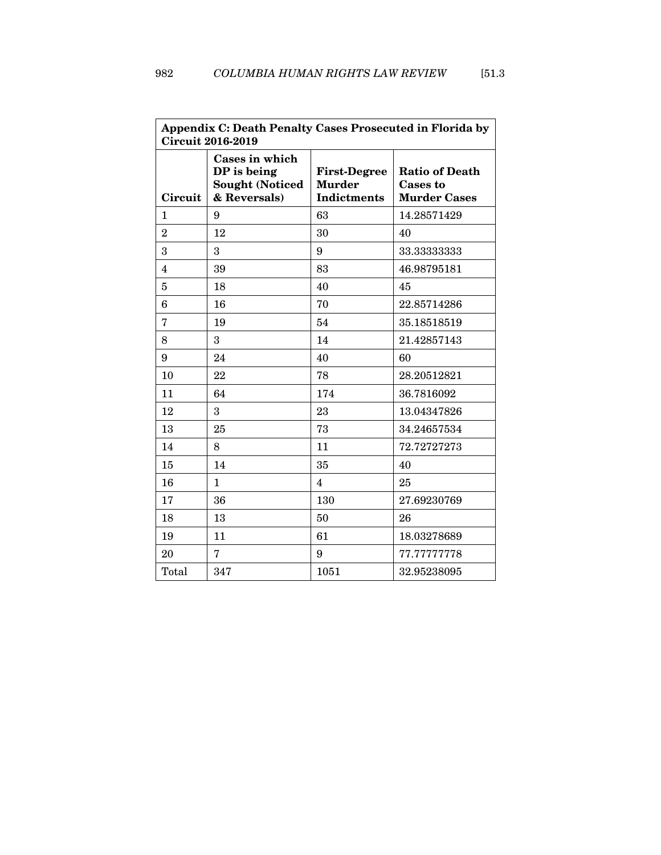| Appendix C: Death Penalty Cases Prosecuted in Florida by<br><b>Circuit 2016-2019</b> |                                                                         |                                                            |                                                                 |
|--------------------------------------------------------------------------------------|-------------------------------------------------------------------------|------------------------------------------------------------|-----------------------------------------------------------------|
| Circuit                                                                              | Cases in which<br>DP is being<br><b>Sought (Noticed</b><br>& Reversals) | <b>First-Degree</b><br><b>Murder</b><br><b>Indictments</b> | <b>Ratio of Death</b><br><b>Cases to</b><br><b>Murder Cases</b> |
| $\mathbf{1}$                                                                         | 9                                                                       | 63                                                         | 14.28571429                                                     |
| $\overline{2}$                                                                       | 12                                                                      | 30                                                         | 40                                                              |
| 3                                                                                    | 3                                                                       | 9                                                          | 33.33333333                                                     |
| $\overline{4}$                                                                       | 39                                                                      | 83                                                         | 46.98795181                                                     |
| 5                                                                                    | 18                                                                      | 40                                                         | 45                                                              |
| $6\phantom{1}6$                                                                      | 16                                                                      | 70                                                         | 22.85714286                                                     |
| $\overline{7}$                                                                       | 19                                                                      | 54                                                         | 35.18518519                                                     |
| 8                                                                                    | 3                                                                       | 14                                                         | 21.42857143                                                     |
| 9                                                                                    | 24                                                                      | 40                                                         | 60                                                              |
| 10                                                                                   | 22                                                                      | 78                                                         | 28.20512821                                                     |
| 11                                                                                   | 64                                                                      | 174                                                        | 36.7816092                                                      |
| 12                                                                                   | 3                                                                       | 23                                                         | 13.04347826                                                     |
| 13                                                                                   | 25                                                                      | 73                                                         | 34.24657534                                                     |
| 14                                                                                   | 8                                                                       | 11                                                         | 72.72727273                                                     |
| 15                                                                                   | 14                                                                      | 35                                                         | 40                                                              |
| 16                                                                                   | $\mathbf{1}$                                                            | $\overline{4}$                                             | 25                                                              |
| 17                                                                                   | 36                                                                      | 130                                                        | 27.69230769                                                     |
| 18                                                                                   | 13                                                                      | 50                                                         | 26                                                              |
| 19                                                                                   | 11                                                                      | 61                                                         | 18.03278689                                                     |
| 20                                                                                   | 7                                                                       | 9                                                          | 77.77777778                                                     |
| Total                                                                                | 347                                                                     | 1051                                                       | 32.95238095                                                     |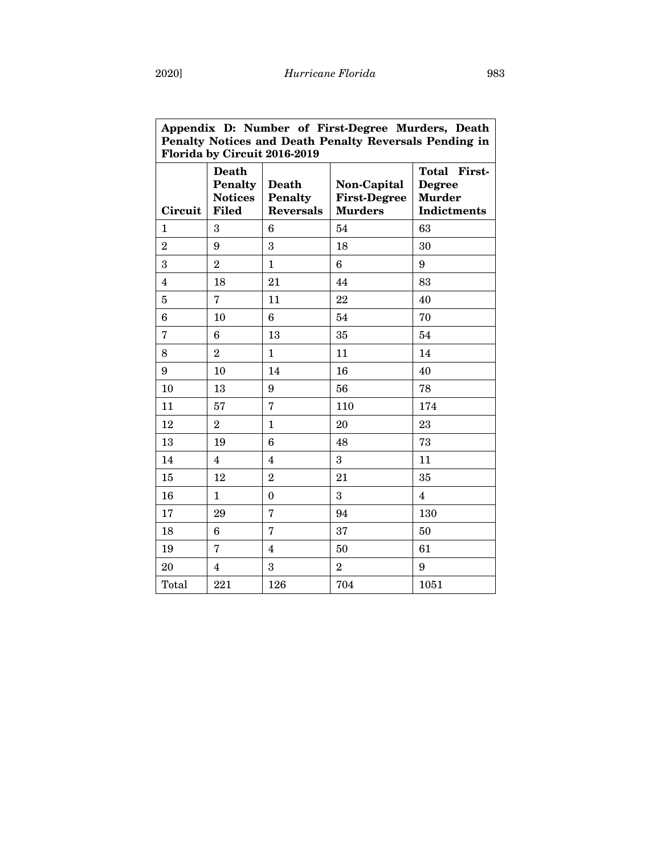| Appendix D: Number of First-Degree Murders, Death<br>Penalty Notices and Death Penalty Reversals Pending in<br>Florida by Circuit 2016-2019 |                                                                  |                                             |                                                      |                                                               |
|---------------------------------------------------------------------------------------------------------------------------------------------|------------------------------------------------------------------|---------------------------------------------|------------------------------------------------------|---------------------------------------------------------------|
| Circuit                                                                                                                                     | <b>Death</b><br><b>Penalty</b><br><b>Notices</b><br><b>Filed</b> | Death<br><b>Penalty</b><br><b>Reversals</b> | Non-Capital<br><b>First-Degree</b><br><b>Murders</b> | Total First-<br><b>Degree</b><br><b>Murder</b><br>Indictments |
| $\mathbf{1}$                                                                                                                                | 3                                                                | 6                                           | 54                                                   | 63                                                            |
| $\overline{2}$                                                                                                                              | 9                                                                | 3                                           | 18                                                   | 30                                                            |
| 3                                                                                                                                           | $\overline{2}$                                                   | $\mathbf{1}$                                | $6\phantom{1}6$                                      | 9                                                             |
| $\overline{4}$                                                                                                                              | 18                                                               | 21                                          | 44                                                   | 83                                                            |
| $\overline{5}$                                                                                                                              | 7                                                                | 11                                          | 22                                                   | 40                                                            |
| $\bf 6$                                                                                                                                     | 10                                                               | $6\phantom{1}6$                             | 54                                                   | 70                                                            |
| $\overline{7}$                                                                                                                              | 6                                                                | 13                                          | 35                                                   | 54                                                            |
| 8                                                                                                                                           | $\overline{2}$                                                   | $\mathbf{1}$                                | 11                                                   | 14                                                            |
| 9                                                                                                                                           | 10                                                               | 14                                          | 16                                                   | 40                                                            |
| 10                                                                                                                                          | 13                                                               | 9                                           | 56                                                   | 78                                                            |
| 11                                                                                                                                          | 57                                                               | $\overline{7}$                              | 110                                                  | 174                                                           |
| 12                                                                                                                                          | $\overline{2}$                                                   | $\mathbf{1}$                                | 20                                                   | 23                                                            |
| 13                                                                                                                                          | 19                                                               | 6                                           | 48                                                   | 73                                                            |
| 14                                                                                                                                          | $\overline{4}$                                                   | $\overline{\mathbf{4}}$                     | 3                                                    | 11                                                            |
| 15                                                                                                                                          | 12                                                               | $\overline{2}$                              | 21                                                   | 35                                                            |
| 16                                                                                                                                          | $\mathbf{1}$                                                     | $\boldsymbol{0}$                            | 3                                                    | $\overline{\mathbf{4}}$                                       |
| 17                                                                                                                                          | 29                                                               | $\overline{7}$                              | 94                                                   | 130                                                           |
| 18                                                                                                                                          | 6                                                                | $\overline{7}$                              | 37                                                   | 50                                                            |
| 19                                                                                                                                          | $\overline{7}$                                                   | $\overline{\mathbf{4}}$                     | 50                                                   | 61                                                            |
| 20                                                                                                                                          | $\overline{4}$                                                   | 3                                           | $\overline{2}$                                       | 9                                                             |
| Total                                                                                                                                       | 221                                                              | 126                                         | 704                                                  | 1051                                                          |